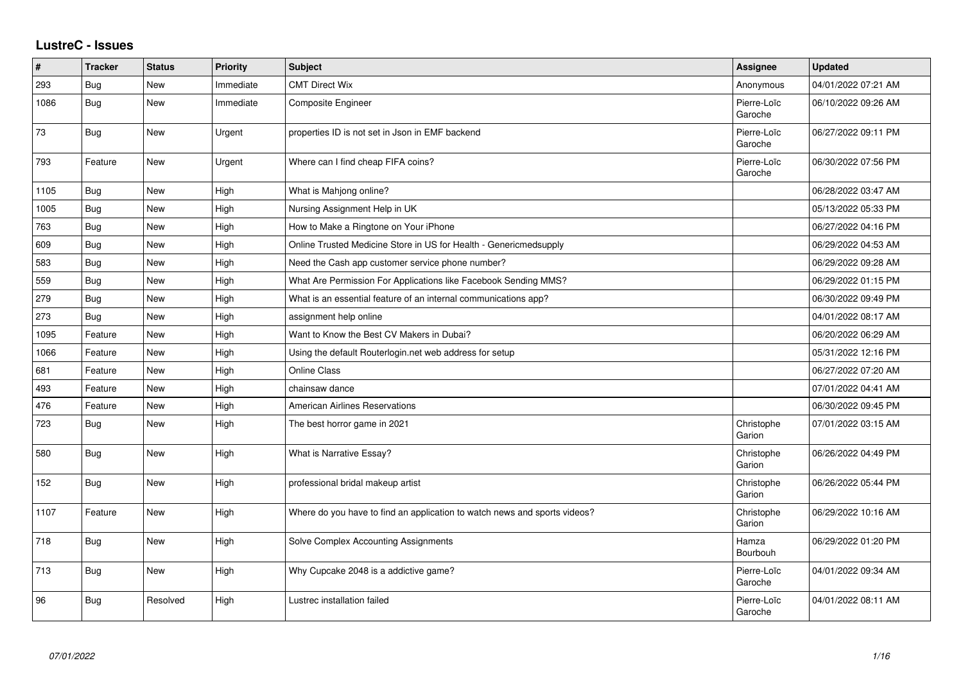## **LustreC - Issues**

| $\sharp$ | <b>Tracker</b> | <b>Status</b> | <b>Priority</b> | Subject                                                                   | <b>Assignee</b>        | <b>Updated</b>      |
|----------|----------------|---------------|-----------------|---------------------------------------------------------------------------|------------------------|---------------------|
| 293      | Bug            | New           | Immediate       | <b>CMT Direct Wix</b>                                                     | Anonymous              | 04/01/2022 07:21 AM |
| 1086     | Bug            | <b>New</b>    | Immediate       | <b>Composite Engineer</b>                                                 | Pierre-Loïc<br>Garoche | 06/10/2022 09:26 AM |
| 73       | Bug            | <b>New</b>    | Urgent          | properties ID is not set in Json in EMF backend                           | Pierre-Loïc<br>Garoche | 06/27/2022 09:11 PM |
| 793      | Feature        | New           | Urgent          | Where can I find cheap FIFA coins?                                        | Pierre-Loïc<br>Garoche | 06/30/2022 07:56 PM |
| 1105     | Bug            | New           | High            | What is Mahjong online?                                                   |                        | 06/28/2022 03:47 AM |
| 1005     | Bug            | <b>New</b>    | High            | Nursing Assignment Help in UK                                             |                        | 05/13/2022 05:33 PM |
| 763      | <b>Bug</b>     | New           | High            | How to Make a Ringtone on Your iPhone                                     |                        | 06/27/2022 04:16 PM |
| 609      | Bug            | <b>New</b>    | High            | Online Trusted Medicine Store in US for Health - Genericmedsupply         |                        | 06/29/2022 04:53 AM |
| 583      | Bug            | New           | High            | Need the Cash app customer service phone number?                          |                        | 06/29/2022 09:28 AM |
| 559      | Bug            | New           | High            | What Are Permission For Applications like Facebook Sending MMS?           |                        | 06/29/2022 01:15 PM |
| 279      | Bug            | New           | High            | What is an essential feature of an internal communications app?           |                        | 06/30/2022 09:49 PM |
| 273      | Bug            | New           | High            | assignment help online                                                    |                        | 04/01/2022 08:17 AM |
| 1095     | Feature        | <b>New</b>    | High            | Want to Know the Best CV Makers in Dubai?                                 |                        | 06/20/2022 06:29 AM |
| 1066     | Feature        | New           | High            | Using the default Routerlogin.net web address for setup                   |                        | 05/31/2022 12:16 PM |
| 681      | Feature        | New           | High            | Online Class                                                              |                        | 06/27/2022 07:20 AM |
| 493      | Feature        | New           | High            | chainsaw dance                                                            |                        | 07/01/2022 04:41 AM |
| 476      | Feature        | New           | High            | <b>American Airlines Reservations</b>                                     |                        | 06/30/2022 09:45 PM |
| 723      | Bug            | New           | High            | The best horror game in 2021                                              | Christophe<br>Garion   | 07/01/2022 03:15 AM |
| 580      | Bug            | New           | High            | What is Narrative Essay?                                                  | Christophe<br>Garion   | 06/26/2022 04:49 PM |
| 152      | Bug            | New           | High            | professional bridal makeup artist                                         | Christophe<br>Garion   | 06/26/2022 05:44 PM |
| 1107     | Feature        | New           | High            | Where do you have to find an application to watch news and sports videos? | Christophe<br>Garion   | 06/29/2022 10:16 AM |
| 718      | Bug            | New           | High            | Solve Complex Accounting Assignments                                      | Hamza<br>Bourbouh      | 06/29/2022 01:20 PM |
| 713      | Bug            | <b>New</b>    | High            | Why Cupcake 2048 is a addictive game?                                     | Pierre-Loïc<br>Garoche | 04/01/2022 09:34 AM |
| 96       | Bug            | Resolved      | High            | Lustrec installation failed                                               | Pierre-Loïc<br>Garoche | 04/01/2022 08:11 AM |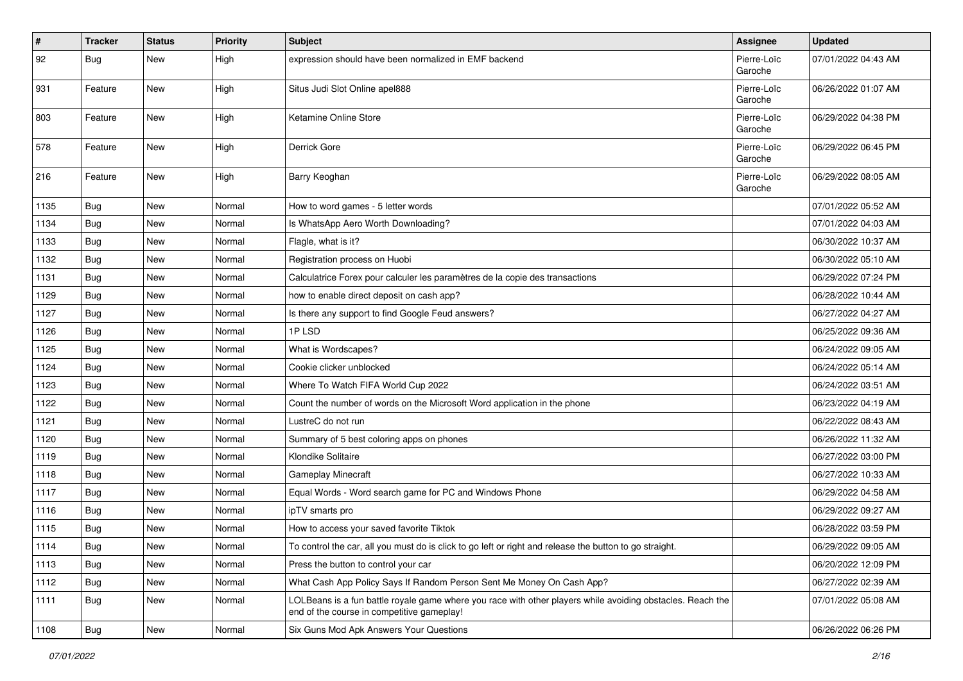| $\pmb{\#}$ | <b>Tracker</b> | <b>Status</b> | <b>Priority</b> | <b>Subject</b>                                                                                                                                           | <b>Assignee</b>        | <b>Updated</b>      |
|------------|----------------|---------------|-----------------|----------------------------------------------------------------------------------------------------------------------------------------------------------|------------------------|---------------------|
| 92         | Bug            | New           | High            | expression should have been normalized in EMF backend                                                                                                    | Pierre-Loïc<br>Garoche | 07/01/2022 04:43 AM |
| 931        | Feature        | New           | High            | Situs Judi Slot Online apel888                                                                                                                           | Pierre-Loïc<br>Garoche | 06/26/2022 01:07 AM |
| 803        | Feature        | New           | High            | Ketamine Online Store                                                                                                                                    | Pierre-Loïc<br>Garoche | 06/29/2022 04:38 PM |
| 578        | Feature        | <b>New</b>    | High            | Derrick Gore                                                                                                                                             | Pierre-Loïc<br>Garoche | 06/29/2022 06:45 PM |
| 216        | Feature        | <b>New</b>    | High            | Barry Keoghan                                                                                                                                            | Pierre-Loïc<br>Garoche | 06/29/2022 08:05 AM |
| 1135       | Bug            | New           | Normal          | How to word games - 5 letter words                                                                                                                       |                        | 07/01/2022 05:52 AM |
| 1134       | Bug            | New           | Normal          | Is WhatsApp Aero Worth Downloading?                                                                                                                      |                        | 07/01/2022 04:03 AM |
| 1133       | Bug            | <b>New</b>    | Normal          | Flagle, what is it?                                                                                                                                      |                        | 06/30/2022 10:37 AM |
| 1132       | <b>Bug</b>     | New           | Normal          | Registration process on Huobi                                                                                                                            |                        | 06/30/2022 05:10 AM |
| 1131       | <b>Bug</b>     | New           | Normal          | Calculatrice Forex pour calculer les paramètres de la copie des transactions                                                                             |                        | 06/29/2022 07:24 PM |
| 1129       | Bug            | New           | Normal          | how to enable direct deposit on cash app?                                                                                                                |                        | 06/28/2022 10:44 AM |
| 1127       | <b>Bug</b>     | New           | Normal          | Is there any support to find Google Feud answers?                                                                                                        |                        | 06/27/2022 04:27 AM |
| 1126       | Bug            | <b>New</b>    | Normal          | 1PLSD                                                                                                                                                    |                        | 06/25/2022 09:36 AM |
| 1125       | Bug            | New           | Normal          | What is Wordscapes?                                                                                                                                      |                        | 06/24/2022 09:05 AM |
| 1124       | <b>Bug</b>     | New           | Normal          | Cookie clicker unblocked                                                                                                                                 |                        | 06/24/2022 05:14 AM |
| 1123       | <b>Bug</b>     | New           | Normal          | Where To Watch FIFA World Cup 2022                                                                                                                       |                        | 06/24/2022 03:51 AM |
| 1122       | <b>Bug</b>     | <b>New</b>    | Normal          | Count the number of words on the Microsoft Word application in the phone                                                                                 |                        | 06/23/2022 04:19 AM |
| 1121       | Bug            | <b>New</b>    | Normal          | LustreC do not run                                                                                                                                       |                        | 06/22/2022 08:43 AM |
| 1120       | <b>Bug</b>     | New           | Normal          | Summary of 5 best coloring apps on phones                                                                                                                |                        | 06/26/2022 11:32 AM |
| 1119       | Bug            | <b>New</b>    | Normal          | Klondike Solitaire                                                                                                                                       |                        | 06/27/2022 03:00 PM |
| 1118       | <b>Bug</b>     | New           | Normal          | <b>Gameplay Minecraft</b>                                                                                                                                |                        | 06/27/2022 10:33 AM |
| 1117       | <b>Bug</b>     | New           | Normal          | Equal Words - Word search game for PC and Windows Phone                                                                                                  |                        | 06/29/2022 04:58 AM |
| 1116       | <b>Bug</b>     | New           | Normal          | ipTV smarts pro                                                                                                                                          |                        | 06/29/2022 09:27 AM |
| 1115       | Bug            | New           | Normal          | How to access your saved favorite Tiktok                                                                                                                 |                        | 06/28/2022 03:59 PM |
| 1114       | <b>Bug</b>     | New           | Normal          | To control the car, all you must do is click to go left or right and release the button to go straight.                                                  |                        | 06/29/2022 09:05 AM |
| 1113       | Bug            | New           | Normal          | Press the button to control your car                                                                                                                     |                        | 06/20/2022 12:09 PM |
| 1112       | Bug            | New           | Normal          | What Cash App Policy Says If Random Person Sent Me Money On Cash App?                                                                                    |                        | 06/27/2022 02:39 AM |
| 1111       | Bug            | New           | Normal          | LOLBeans is a fun battle royale game where you race with other players while avoiding obstacles. Reach the<br>end of the course in competitive gameplay! |                        | 07/01/2022 05:08 AM |
| 1108       | <b>Bug</b>     | New           | Normal          | Six Guns Mod Apk Answers Your Questions                                                                                                                  |                        | 06/26/2022 06:26 PM |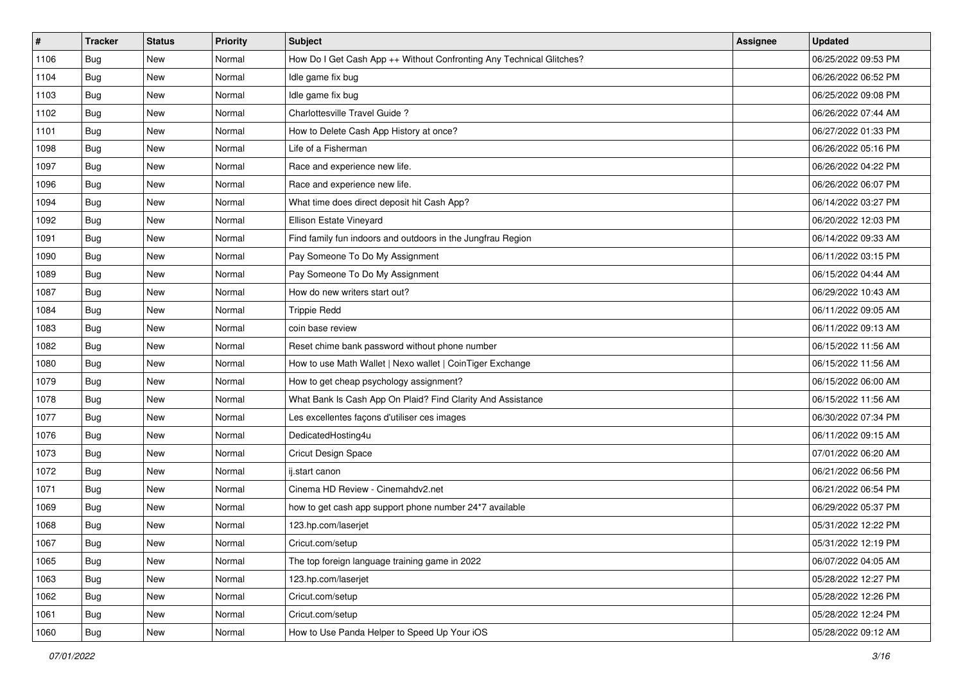| $\vert$ # | <b>Tracker</b> | <b>Status</b> | Priority | Subject                                                              | <b>Assignee</b> | <b>Updated</b>      |
|-----------|----------------|---------------|----------|----------------------------------------------------------------------|-----------------|---------------------|
| 1106      | <b>Bug</b>     | New           | Normal   | How Do I Get Cash App ++ Without Confronting Any Technical Glitches? |                 | 06/25/2022 09:53 PM |
| 1104      | Bug            | New           | Normal   | Idle game fix bug                                                    |                 | 06/26/2022 06:52 PM |
| 1103      | <b>Bug</b>     | New           | Normal   | Idle game fix bug                                                    |                 | 06/25/2022 09:08 PM |
| 1102      | <b>Bug</b>     | New           | Normal   | Charlottesville Travel Guide?                                        |                 | 06/26/2022 07:44 AM |
| 1101      | Bug            | New           | Normal   | How to Delete Cash App History at once?                              |                 | 06/27/2022 01:33 PM |
| 1098      | <b>Bug</b>     | New           | Normal   | Life of a Fisherman                                                  |                 | 06/26/2022 05:16 PM |
| 1097      | Bug            | New           | Normal   | Race and experience new life.                                        |                 | 06/26/2022 04:22 PM |
| 1096      | <b>Bug</b>     | New           | Normal   | Race and experience new life.                                        |                 | 06/26/2022 06:07 PM |
| 1094      | <b>Bug</b>     | New           | Normal   | What time does direct deposit hit Cash App?                          |                 | 06/14/2022 03:27 PM |
| 1092      | Bug            | New           | Normal   | Ellison Estate Vineyard                                              |                 | 06/20/2022 12:03 PM |
| 1091      | <b>Bug</b>     | New           | Normal   | Find family fun indoors and outdoors in the Jungfrau Region          |                 | 06/14/2022 09:33 AM |
| 1090      | Bug            | New           | Normal   | Pay Someone To Do My Assignment                                      |                 | 06/11/2022 03:15 PM |
| 1089      | <b>Bug</b>     | New           | Normal   | Pay Someone To Do My Assignment                                      |                 | 06/15/2022 04:44 AM |
| 1087      | Bug            | New           | Normal   | How do new writers start out?                                        |                 | 06/29/2022 10:43 AM |
| 1084      | Bug            | New           | Normal   | <b>Trippie Redd</b>                                                  |                 | 06/11/2022 09:05 AM |
| 1083      | <b>Bug</b>     | New           | Normal   | coin base review                                                     |                 | 06/11/2022 09:13 AM |
| 1082      | <b>Bug</b>     | New           | Normal   | Reset chime bank password without phone number                       |                 | 06/15/2022 11:56 AM |
| 1080      | Bug            | <b>New</b>    | Normal   | How to use Math Wallet   Nexo wallet   CoinTiger Exchange            |                 | 06/15/2022 11:56 AM |
| 1079      | <b>Bug</b>     | New           | Normal   | How to get cheap psychology assignment?                              |                 | 06/15/2022 06:00 AM |
| 1078      | Bug            | New           | Normal   | What Bank Is Cash App On Plaid? Find Clarity And Assistance          |                 | 06/15/2022 11:56 AM |
| 1077      | <b>Bug</b>     | New           | Normal   | Les excellentes façons d'utiliser ces images                         |                 | 06/30/2022 07:34 PM |
| 1076      | <b>Bug</b>     | New           | Normal   | DedicatedHosting4u                                                   |                 | 06/11/2022 09:15 AM |
| 1073      | Bug            | <b>New</b>    | Normal   | Cricut Design Space                                                  |                 | 07/01/2022 06:20 AM |
| 1072      | Bug            | New           | Normal   | ij.start canon                                                       |                 | 06/21/2022 06:56 PM |
| 1071      | <b>Bug</b>     | <b>New</b>    | Normal   | Cinema HD Review - Cinemahdv2.net                                    |                 | 06/21/2022 06:54 PM |
| 1069      | <b>Bug</b>     | New           | Normal   | how to get cash app support phone number 24*7 available              |                 | 06/29/2022 05:37 PM |
| 1068      | <b>Bug</b>     | New           | Normal   | 123.hp.com/laserjet                                                  |                 | 05/31/2022 12:22 PM |
| 1067      | Bug            | New           | Normal   | Cricut.com/setup                                                     |                 | 05/31/2022 12:19 PM |
| 1065      | Bug            | New           | Normal   | The top foreign language training game in 2022                       |                 | 06/07/2022 04:05 AM |
| 1063      | Bug            | New           | Normal   | 123.hp.com/laserjet                                                  |                 | 05/28/2022 12:27 PM |
| 1062      | Bug            | New           | Normal   | Cricut.com/setup                                                     |                 | 05/28/2022 12:26 PM |
| 1061      | Bug            | New           | Normal   | Cricut.com/setup                                                     |                 | 05/28/2022 12:24 PM |
| 1060      | <b>Bug</b>     | New           | Normal   | How to Use Panda Helper to Speed Up Your iOS                         |                 | 05/28/2022 09:12 AM |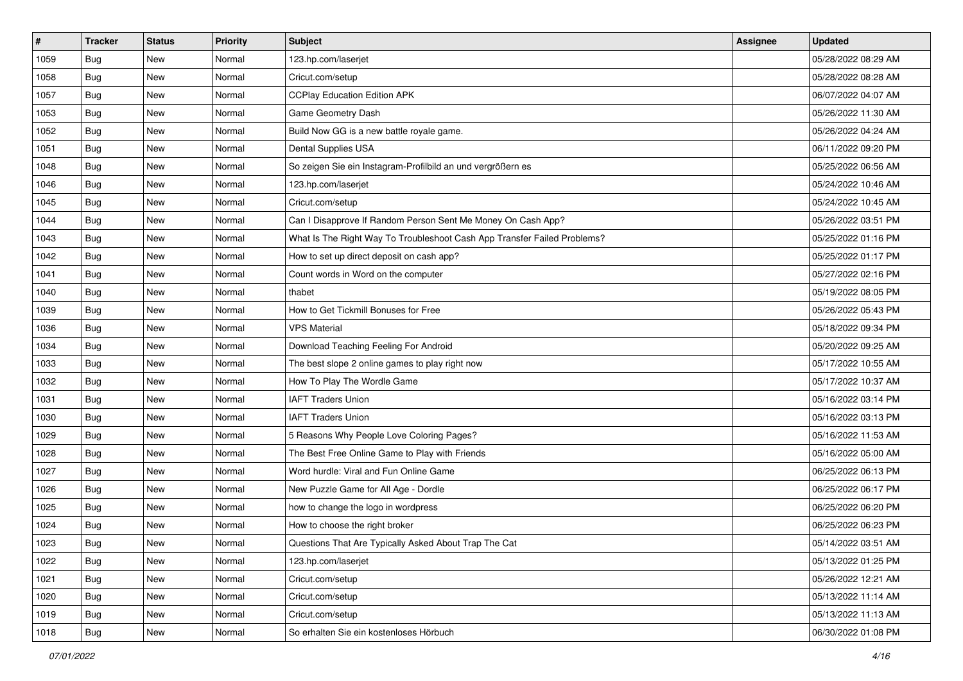| $\vert$ # | <b>Tracker</b> | <b>Status</b> | <b>Priority</b> | <b>Subject</b>                                                           | <b>Assignee</b> | <b>Updated</b>      |
|-----------|----------------|---------------|-----------------|--------------------------------------------------------------------------|-----------------|---------------------|
| 1059      | Bug            | New           | Normal          | 123.hp.com/laserjet                                                      |                 | 05/28/2022 08:29 AM |
| 1058      | Bug            | <b>New</b>    | Normal          | Cricut.com/setup                                                         |                 | 05/28/2022 08:28 AM |
| 1057      | Bug            | New           | Normal          | <b>CCPlay Education Edition APK</b>                                      |                 | 06/07/2022 04:07 AM |
| 1053      | <b>Bug</b>     | New           | Normal          | Game Geometry Dash                                                       |                 | 05/26/2022 11:30 AM |
| 1052      | Bug            | New           | Normal          | Build Now GG is a new battle royale game.                                |                 | 05/26/2022 04:24 AM |
| 1051      | <b>Bug</b>     | New           | Normal          | <b>Dental Supplies USA</b>                                               |                 | 06/11/2022 09:20 PM |
| 1048      | Bug            | New           | Normal          | So zeigen Sie ein Instagram-Profilbild an und vergrößern es              |                 | 05/25/2022 06:56 AM |
| 1046      | Bug            | New           | Normal          | 123.hp.com/laserjet                                                      |                 | 05/24/2022 10:46 AM |
| 1045      | <b>Bug</b>     | New           | Normal          | Cricut.com/setup                                                         |                 | 05/24/2022 10:45 AM |
| 1044      | Bug            | <b>New</b>    | Normal          | Can I Disapprove If Random Person Sent Me Money On Cash App?             |                 | 05/26/2022 03:51 PM |
| 1043      | Bug            | New           | Normal          | What Is The Right Way To Troubleshoot Cash App Transfer Failed Problems? |                 | 05/25/2022 01:16 PM |
| 1042      | Bug            | New           | Normal          | How to set up direct deposit on cash app?                                |                 | 05/25/2022 01:17 PM |
| 1041      | <b>Bug</b>     | New           | Normal          | Count words in Word on the computer                                      |                 | 05/27/2022 02:16 PM |
| 1040      | <b>Bug</b>     | New           | Normal          | thabet                                                                   |                 | 05/19/2022 08:05 PM |
| 1039      | <b>Bug</b>     | <b>New</b>    | Normal          | How to Get Tickmill Bonuses for Free                                     |                 | 05/26/2022 05:43 PM |
| 1036      | Bug            | New           | Normal          | <b>VPS Material</b>                                                      |                 | 05/18/2022 09:34 PM |
| 1034      | <b>Bug</b>     | New           | Normal          | Download Teaching Feeling For Android                                    |                 | 05/20/2022 09:25 AM |
| 1033      | Bug            | New           | Normal          | The best slope 2 online games to play right now                          |                 | 05/17/2022 10:55 AM |
| 1032      | Bug            | New           | Normal          | How To Play The Wordle Game                                              |                 | 05/17/2022 10:37 AM |
| 1031      | <b>Bug</b>     | <b>New</b>    | Normal          | <b>IAFT Traders Union</b>                                                |                 | 05/16/2022 03:14 PM |
| 1030      | Bug            | New           | Normal          | <b>IAFT Traders Union</b>                                                |                 | 05/16/2022 03:13 PM |
| 1029      | <b>Bug</b>     | New           | Normal          | 5 Reasons Why People Love Coloring Pages?                                |                 | 05/16/2022 11:53 AM |
| 1028      | Bug            | <b>New</b>    | Normal          | The Best Free Online Game to Play with Friends                           |                 | 05/16/2022 05:00 AM |
| 1027      | Bug            | New           | Normal          | Word hurdle: Viral and Fun Online Game                                   |                 | 06/25/2022 06:13 PM |
| 1026      | <b>Bug</b>     | New           | Normal          | New Puzzle Game for All Age - Dordle                                     |                 | 06/25/2022 06:17 PM |
| 1025      | Bug            | New           | Normal          | how to change the logo in wordpress                                      |                 | 06/25/2022 06:20 PM |
| 1024      | <b>Bug</b>     | <b>New</b>    | Normal          | How to choose the right broker                                           |                 | 06/25/2022 06:23 PM |
| 1023      | I Bug          | New           | Normal          | Questions That Are Typically Asked About Trap The Cat                    |                 | 05/14/2022 03:51 AM |
| 1022      | Bug            | New           | Normal          | 123.hp.com/laserjet                                                      |                 | 05/13/2022 01:25 PM |
| 1021      | Bug            | New           | Normal          | Cricut.com/setup                                                         |                 | 05/26/2022 12:21 AM |
| 1020      | Bug            | New           | Normal          | Cricut.com/setup                                                         |                 | 05/13/2022 11:14 AM |
| 1019      | Bug            | New           | Normal          | Cricut.com/setup                                                         |                 | 05/13/2022 11:13 AM |
| 1018      | Bug            | New           | Normal          | So erhalten Sie ein kostenloses Hörbuch                                  |                 | 06/30/2022 01:08 PM |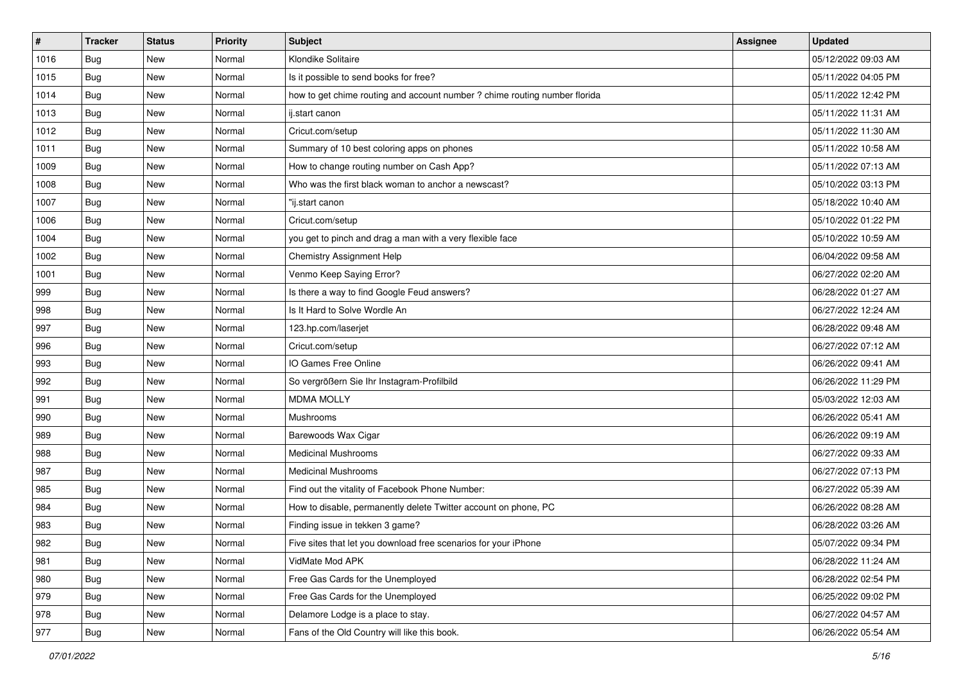| $\vert$ # | <b>Tracker</b> | <b>Status</b> | <b>Priority</b> | <b>Subject</b>                                                             | <b>Assignee</b> | <b>Updated</b>      |
|-----------|----------------|---------------|-----------------|----------------------------------------------------------------------------|-----------------|---------------------|
| 1016      | Bug            | New           | Normal          | Klondike Solitaire                                                         |                 | 05/12/2022 09:03 AM |
| 1015      | <b>Bug</b>     | <b>New</b>    | Normal          | Is it possible to send books for free?                                     |                 | 05/11/2022 04:05 PM |
| 1014      | Bug            | New           | Normal          | how to get chime routing and account number ? chime routing number florida |                 | 05/11/2022 12:42 PM |
| 1013      | <b>Bug</b>     | New           | Normal          | ij.start canon                                                             |                 | 05/11/2022 11:31 AM |
| 1012      | Bug            | New           | Normal          | Cricut.com/setup                                                           |                 | 05/11/2022 11:30 AM |
| 1011      | <b>Bug</b>     | New           | Normal          | Summary of 10 best coloring apps on phones                                 |                 | 05/11/2022 10:58 AM |
| 1009      | Bug            | New           | Normal          | How to change routing number on Cash App?                                  |                 | 05/11/2022 07:13 AM |
| 1008      | Bug            | New           | Normal          | Who was the first black woman to anchor a newscast?                        |                 | 05/10/2022 03:13 PM |
| 1007      | <b>Bug</b>     | New           | Normal          | "ij.start canon                                                            |                 | 05/18/2022 10:40 AM |
| 1006      | Bug            | <b>New</b>    | Normal          | Cricut.com/setup                                                           |                 | 05/10/2022 01:22 PM |
| 1004      | Bug            | New           | Normal          | you get to pinch and drag a man with a very flexible face                  |                 | 05/10/2022 10:59 AM |
| 1002      | Bug            | New           | Normal          | Chemistry Assignment Help                                                  |                 | 06/04/2022 09:58 AM |
| 1001      | <b>Bug</b>     | New           | Normal          | Venmo Keep Saying Error?                                                   |                 | 06/27/2022 02:20 AM |
| 999       | <b>Bug</b>     | New           | Normal          | Is there a way to find Google Feud answers?                                |                 | 06/28/2022 01:27 AM |
| 998       | <b>Bug</b>     | <b>New</b>    | Normal          | Is It Hard to Solve Wordle An                                              |                 | 06/27/2022 12:24 AM |
| 997       | Bug            | New           | Normal          | 123.hp.com/laserjet                                                        |                 | 06/28/2022 09:48 AM |
| 996       | <b>Bug</b>     | New           | Normal          | Cricut.com/setup                                                           |                 | 06/27/2022 07:12 AM |
| 993       | Bug            | New           | Normal          | IO Games Free Online                                                       |                 | 06/26/2022 09:41 AM |
| 992       | <b>Bug</b>     | New           | Normal          | So vergrößern Sie Ihr Instagram-Profilbild                                 |                 | 06/26/2022 11:29 PM |
| 991       | <b>Bug</b>     | <b>New</b>    | Normal          | <b>MDMA MOLLY</b>                                                          |                 | 05/03/2022 12:03 AM |
| 990       | Bug            | New           | Normal          | Mushrooms                                                                  |                 | 06/26/2022 05:41 AM |
| 989       | <b>Bug</b>     | New           | Normal          | Barewoods Wax Cigar                                                        |                 | 06/26/2022 09:19 AM |
| 988       | Bug            | <b>New</b>    | Normal          | <b>Medicinal Mushrooms</b>                                                 |                 | 06/27/2022 09:33 AM |
| 987       | <b>Bug</b>     | New           | Normal          | <b>Medicinal Mushrooms</b>                                                 |                 | 06/27/2022 07:13 PM |
| 985       | <b>Bug</b>     | New           | Normal          | Find out the vitality of Facebook Phone Number:                            |                 | 06/27/2022 05:39 AM |
| 984       | Bug            | New           | Normal          | How to disable, permanently delete Twitter account on phone, PC            |                 | 06/26/2022 08:28 AM |
| 983       | <b>Bug</b>     | <b>New</b>    | Normal          | Finding issue in tekken 3 game?                                            |                 | 06/28/2022 03:26 AM |
| 982       | i Bug          | New           | Normal          | Five sites that let you download free scenarios for your iPhone            |                 | 05/07/2022 09:34 PM |
| 981       | <b>Bug</b>     | New           | Normal          | VidMate Mod APK                                                            |                 | 06/28/2022 11:24 AM |
| 980       | Bug            | New           | Normal          | Free Gas Cards for the Unemployed                                          |                 | 06/28/2022 02:54 PM |
| 979       | Bug            | New           | Normal          | Free Gas Cards for the Unemployed                                          |                 | 06/25/2022 09:02 PM |
| 978       | <b>Bug</b>     | New           | Normal          | Delamore Lodge is a place to stay.                                         |                 | 06/27/2022 04:57 AM |
| 977       | Bug            | New           | Normal          | Fans of the Old Country will like this book.                               |                 | 06/26/2022 05:54 AM |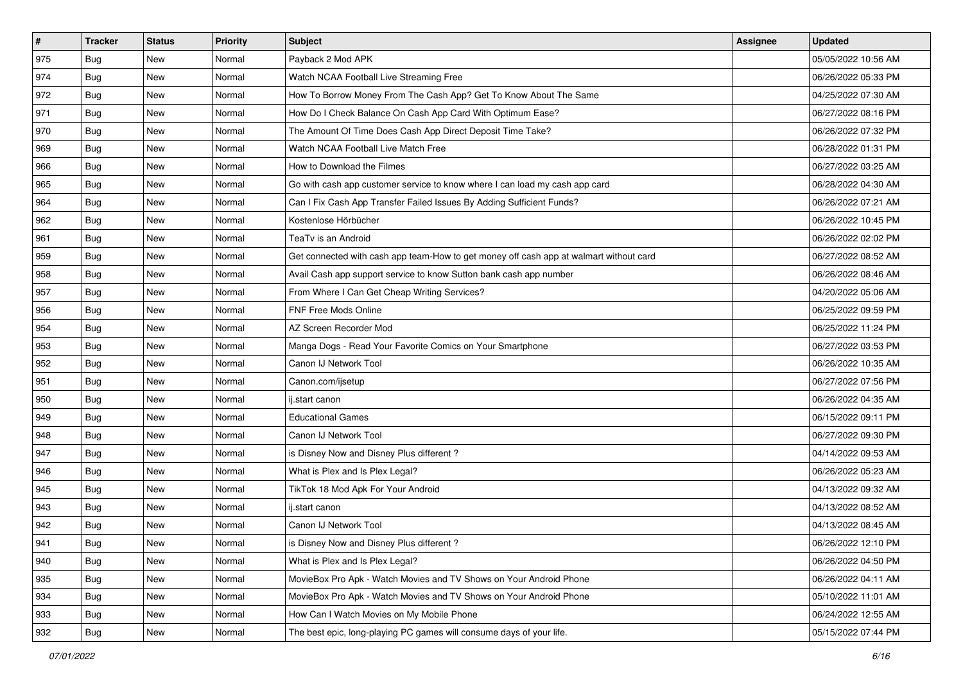| $\vert$ # | <b>Tracker</b> | <b>Status</b> | <b>Priority</b> | Subject                                                                                | Assignee | <b>Updated</b>      |
|-----------|----------------|---------------|-----------------|----------------------------------------------------------------------------------------|----------|---------------------|
| 975       | Bug            | New           | Normal          | Payback 2 Mod APK                                                                      |          | 05/05/2022 10:56 AM |
| 974       | Bug            | <b>New</b>    | Normal          | Watch NCAA Football Live Streaming Free                                                |          | 06/26/2022 05:33 PM |
| 972       | <b>Bug</b>     | New           | Normal          | How To Borrow Money From The Cash App? Get To Know About The Same                      |          | 04/25/2022 07:30 AM |
| 971       | <b>Bug</b>     | New           | Normal          | How Do I Check Balance On Cash App Card With Optimum Ease?                             |          | 06/27/2022 08:16 PM |
| 970       | Bug            | <b>New</b>    | Normal          | The Amount Of Time Does Cash App Direct Deposit Time Take?                             |          | 06/26/2022 07:32 PM |
| 969       | <b>Bug</b>     | New           | Normal          | Watch NCAA Football Live Match Free                                                    |          | 06/28/2022 01:31 PM |
| 966       | Bug            | <b>New</b>    | Normal          | How to Download the Filmes                                                             |          | 06/27/2022 03:25 AM |
| 965       | Bug            | New           | Normal          | Go with cash app customer service to know where I can load my cash app card            |          | 06/28/2022 04:30 AM |
| 964       | <b>Bug</b>     | <b>New</b>    | Normal          | Can I Fix Cash App Transfer Failed Issues By Adding Sufficient Funds?                  |          | 06/26/2022 07:21 AM |
| 962       | Bug            | <b>New</b>    | Normal          | Kostenlose Hörbücher                                                                   |          | 06/26/2022 10:45 PM |
| 961       | Bug            | New           | Normal          | TeaTv is an Android                                                                    |          | 06/26/2022 02:02 PM |
| 959       | Bug            | New           | Normal          | Get connected with cash app team-How to get money off cash app at walmart without card |          | 06/27/2022 08:52 AM |
| 958       | Bug            | New           | Normal          | Avail Cash app support service to know Sutton bank cash app number                     |          | 06/26/2022 08:46 AM |
| 957       | <b>Bug</b>     | New           | Normal          | From Where I Can Get Cheap Writing Services?                                           |          | 04/20/2022 05:06 AM |
| 956       | <b>Bug</b>     | <b>New</b>    | Normal          | <b>FNF Free Mods Online</b>                                                            |          | 06/25/2022 09:59 PM |
| 954       | Bug            | New           | Normal          | AZ Screen Recorder Mod                                                                 |          | 06/25/2022 11:24 PM |
| 953       | <b>Bug</b>     | <b>New</b>    | Normal          | Manga Dogs - Read Your Favorite Comics on Your Smartphone                              |          | 06/27/2022 03:53 PM |
| 952       | Bug            | <b>New</b>    | Normal          | Canon IJ Network Tool                                                                  |          | 06/26/2022 10:35 AM |
| 951       | <b>Bug</b>     | New           | Normal          | Canon.com/ijsetup                                                                      |          | 06/27/2022 07:56 PM |
| 950       | Bug            | <b>New</b>    | Normal          | ij.start canon                                                                         |          | 06/26/2022 04:35 AM |
| 949       | <b>Bug</b>     | New           | Normal          | <b>Educational Games</b>                                                               |          | 06/15/2022 09:11 PM |
| 948       | <b>Bug</b>     | <b>New</b>    | Normal          | Canon IJ Network Tool                                                                  |          | 06/27/2022 09:30 PM |
| 947       | Bug            | <b>New</b>    | Normal          | is Disney Now and Disney Plus different?                                               |          | 04/14/2022 09:53 AM |
| 946       | Bug            | New           | Normal          | What is Plex and Is Plex Legal?                                                        |          | 06/26/2022 05:23 AM |
| 945       | <b>Bug</b>     | New           | Normal          | TikTok 18 Mod Apk For Your Android                                                     |          | 04/13/2022 09:32 AM |
| 943       | <b>Bug</b>     | New           | Normal          | ij.start canon                                                                         |          | 04/13/2022 08:52 AM |
| 942       | <b>Bug</b>     | New           | Normal          | Canon IJ Network Tool                                                                  |          | 04/13/2022 08:45 AM |
| 941       | I Bug          | New           | Normal          | is Disney Now and Disney Plus different?                                               |          | 06/26/2022 12:10 PM |
| 940       | Bug            | New           | Normal          | What is Plex and Is Plex Legal?                                                        |          | 06/26/2022 04:50 PM |
| 935       | Bug            | New           | Normal          | MovieBox Pro Apk - Watch Movies and TV Shows on Your Android Phone                     |          | 06/26/2022 04:11 AM |
| 934       | Bug            | New           | Normal          | MovieBox Pro Apk - Watch Movies and TV Shows on Your Android Phone                     |          | 05/10/2022 11:01 AM |
| 933       | <b>Bug</b>     | New           | Normal          | How Can I Watch Movies on My Mobile Phone                                              |          | 06/24/2022 12:55 AM |
| 932       | Bug            | New           | Normal          | The best epic, long-playing PC games will consume days of your life.                   |          | 05/15/2022 07:44 PM |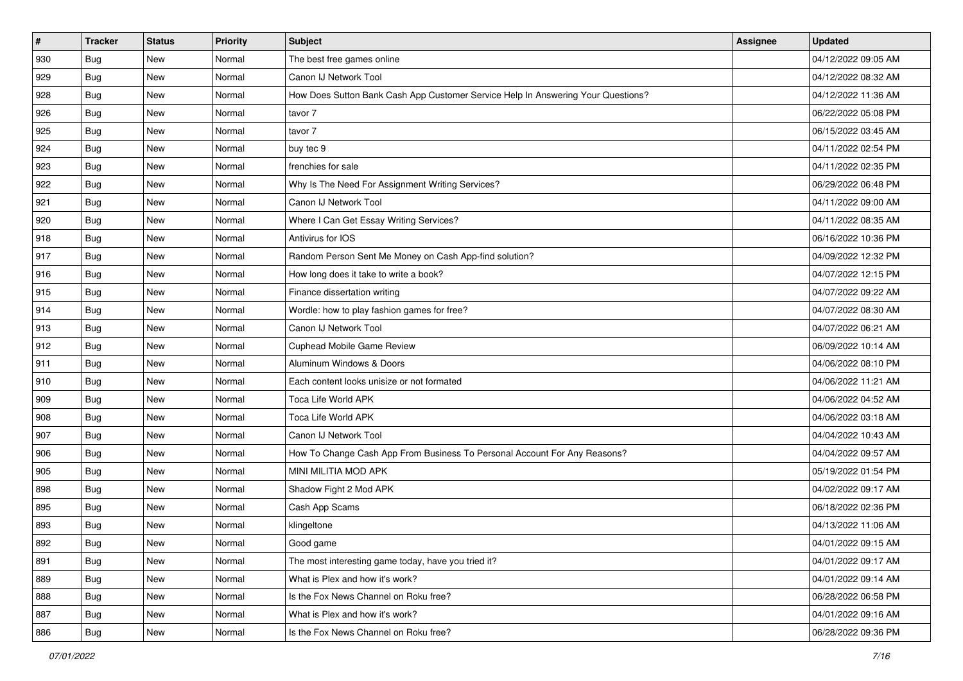| #   | <b>Tracker</b> | <b>Status</b> | <b>Priority</b> | <b>Subject</b>                                                                   | <b>Assignee</b> | <b>Updated</b>      |
|-----|----------------|---------------|-----------------|----------------------------------------------------------------------------------|-----------------|---------------------|
| 930 | Bug            | New           | Normal          | The best free games online                                                       |                 | 04/12/2022 09:05 AM |
| 929 | Bug            | New           | Normal          | Canon IJ Network Tool                                                            |                 | 04/12/2022 08:32 AM |
| 928 | <b>Bug</b>     | New           | Normal          | How Does Sutton Bank Cash App Customer Service Help In Answering Your Questions? |                 | 04/12/2022 11:36 AM |
| 926 | Bug            | New           | Normal          | tavor 7                                                                          |                 | 06/22/2022 05:08 PM |
| 925 | Bug            | <b>New</b>    | Normal          | tavor 7                                                                          |                 | 06/15/2022 03:45 AM |
| 924 | Bug            | New           | Normal          | buy tec 9                                                                        |                 | 04/11/2022 02:54 PM |
| 923 | Bug            | New           | Normal          | frenchies for sale                                                               |                 | 04/11/2022 02:35 PM |
| 922 | Bug            | <b>New</b>    | Normal          | Why Is The Need For Assignment Writing Services?                                 |                 | 06/29/2022 06:48 PM |
| 921 | Bug            | New           | Normal          | Canon IJ Network Tool                                                            |                 | 04/11/2022 09:00 AM |
| 920 | Bug            | New           | Normal          | Where I Can Get Essay Writing Services?                                          |                 | 04/11/2022 08:35 AM |
| 918 | Bug            | New           | Normal          | Antivirus for IOS                                                                |                 | 06/16/2022 10:36 PM |
| 917 | Bug            | New           | Normal          | Random Person Sent Me Money on Cash App-find solution?                           |                 | 04/09/2022 12:32 PM |
| 916 | <b>Bug</b>     | <b>New</b>    | Normal          | How long does it take to write a book?                                           |                 | 04/07/2022 12:15 PM |
| 915 | Bug            | New           | Normal          | Finance dissertation writing                                                     |                 | 04/07/2022 09:22 AM |
| 914 | Bug            | New           | Normal          | Wordle: how to play fashion games for free?                                      |                 | 04/07/2022 08:30 AM |
| 913 | <b>Bug</b>     | New           | Normal          | Canon IJ Network Tool                                                            |                 | 04/07/2022 06:21 AM |
| 912 | Bug            | New           | Normal          | Cuphead Mobile Game Review                                                       |                 | 06/09/2022 10:14 AM |
| 911 | Bug            | <b>New</b>    | Normal          | Aluminum Windows & Doors                                                         |                 | 04/06/2022 08:10 PM |
| 910 | Bug            | New           | Normal          | Each content looks unisize or not formated                                       |                 | 04/06/2022 11:21 AM |
| 909 | Bug            | New           | Normal          | Toca Life World APK                                                              |                 | 04/06/2022 04:52 AM |
| 908 | Bug            | <b>New</b>    | Normal          | Toca Life World APK                                                              |                 | 04/06/2022 03:18 AM |
| 907 | Bug            | New           | Normal          | Canon IJ Network Tool                                                            |                 | 04/04/2022 10:43 AM |
| 906 | Bug            | New           | Normal          | How To Change Cash App From Business To Personal Account For Any Reasons?        |                 | 04/04/2022 09:57 AM |
| 905 | Bug            | New           | Normal          | MINI MILITIA MOD APK                                                             |                 | 05/19/2022 01:54 PM |
| 898 | Bug            | New           | Normal          | Shadow Fight 2 Mod APK                                                           |                 | 04/02/2022 09:17 AM |
| 895 | Bug            | <b>New</b>    | Normal          | Cash App Scams                                                                   |                 | 06/18/2022 02:36 PM |
| 893 | <b>Bug</b>     | New           | Normal          | klingeltone                                                                      |                 | 04/13/2022 11:06 AM |
| 892 | <b>Bug</b>     | New           | Normal          | Good game                                                                        |                 | 04/01/2022 09:15 AM |
| 891 | Bug            | New           | Normal          | The most interesting game today, have you tried it?                              |                 | 04/01/2022 09:17 AM |
| 889 | Bug            | New           | Normal          | What is Plex and how it's work?                                                  |                 | 04/01/2022 09:14 AM |
| 888 | Bug            | New           | Normal          | Is the Fox News Channel on Roku free?                                            |                 | 06/28/2022 06:58 PM |
| 887 | Bug            | New           | Normal          | What is Plex and how it's work?                                                  |                 | 04/01/2022 09:16 AM |
| 886 | <b>Bug</b>     | New           | Normal          | Is the Fox News Channel on Roku free?                                            |                 | 06/28/2022 09:36 PM |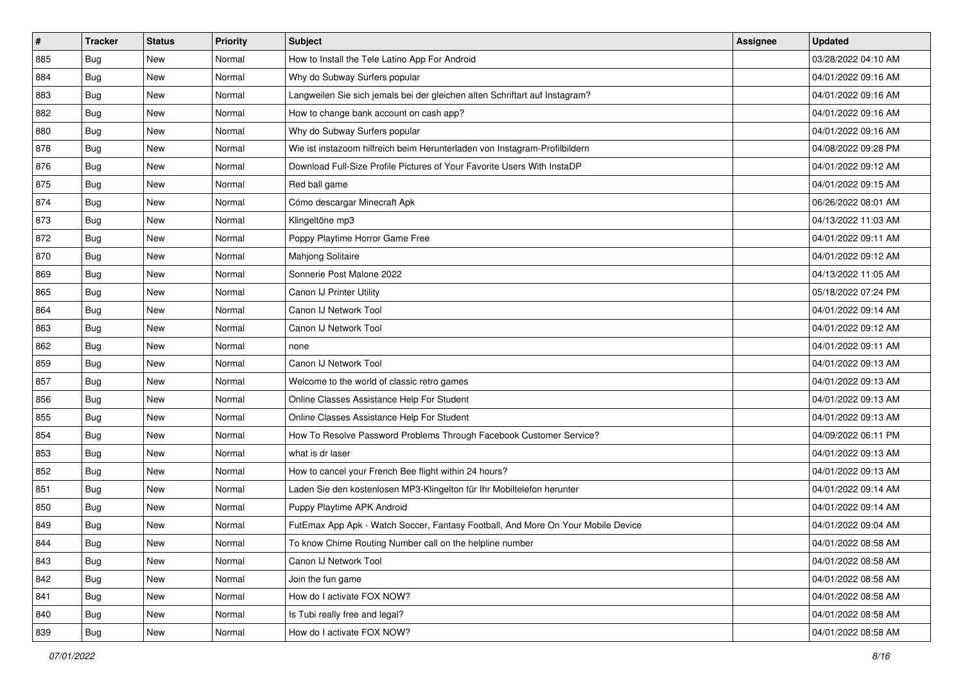| $\vert$ # | <b>Tracker</b> | <b>Status</b> | <b>Priority</b> | <b>Subject</b>                                                                   | <b>Assignee</b> | <b>Updated</b>      |
|-----------|----------------|---------------|-----------------|----------------------------------------------------------------------------------|-----------------|---------------------|
| 885       | <b>Bug</b>     | New           | Normal          | How to Install the Tele Latino App For Android                                   |                 | 03/28/2022 04:10 AM |
| 884       | Bug            | <b>New</b>    | Normal          | Why do Subway Surfers popular                                                    |                 | 04/01/2022 09:16 AM |
| 883       | Bug            | New           | Normal          | Langweilen Sie sich jemals bei der gleichen alten Schriftart auf Instagram?      |                 | 04/01/2022 09:16 AM |
| 882       | Bug            | New           | Normal          | How to change bank account on cash app?                                          |                 | 04/01/2022 09:16 AM |
| 880       | Bug            | New           | Normal          | Why do Subway Surfers popular                                                    |                 | 04/01/2022 09:16 AM |
| 878       | Bug            | New           | Normal          | Wie ist instazoom hilfreich beim Herunterladen von Instagram-Profilbildern       |                 | 04/08/2022 09:28 PM |
| 876       | Bug            | New           | Normal          | Download Full-Size Profile Pictures of Your Favorite Users With InstaDP          |                 | 04/01/2022 09:12 AM |
| 875       | Bug            | New           | Normal          | Red ball game                                                                    |                 | 04/01/2022 09:15 AM |
| 874       | <b>Bug</b>     | New           | Normal          | Cómo descargar Minecraft Apk                                                     |                 | 06/26/2022 08:01 AM |
| 873       | Bug            | <b>New</b>    | Normal          | Klingeltöne mp3                                                                  |                 | 04/13/2022 11:03 AM |
| 872       | <b>Bug</b>     | New           | Normal          | Poppy Playtime Horror Game Free                                                  |                 | 04/01/2022 09:11 AM |
| 870       | <b>Bug</b>     | New           | Normal          | Mahjong Solitaire                                                                |                 | 04/01/2022 09:12 AM |
| 869       | Bug            | New           | Normal          | Sonnerie Post Malone 2022                                                        |                 | 04/13/2022 11:05 AM |
| 865       | <b>Bug</b>     | New           | Normal          | Canon IJ Printer Utility                                                         |                 | 05/18/2022 07:24 PM |
| 864       | Bug            | <b>New</b>    | Normal          | Canon IJ Network Tool                                                            |                 | 04/01/2022 09:14 AM |
| 863       | Bug            | New           | Normal          | Canon IJ Network Tool                                                            |                 | 04/01/2022 09:12 AM |
| 862       | Bug            | New           | Normal          | none                                                                             |                 | 04/01/2022 09:11 AM |
| 859       | <b>Bug</b>     | New           | Normal          | Canon IJ Network Tool                                                            |                 | 04/01/2022 09:13 AM |
| 857       | <b>Bug</b>     | New           | Normal          | Welcome to the world of classic retro games                                      |                 | 04/01/2022 09:13 AM |
| 856       | <b>Bug</b>     | New           | Normal          | Online Classes Assistance Help For Student                                       |                 | 04/01/2022 09:13 AM |
| 855       | Bug            | New           | Normal          | Online Classes Assistance Help For Student                                       |                 | 04/01/2022 09:13 AM |
| 854       | <b>Bug</b>     | New           | Normal          | How To Resolve Password Problems Through Facebook Customer Service?              |                 | 04/09/2022 06:11 PM |
| 853       | Bug            | <b>New</b>    | Normal          | what is dr laser                                                                 |                 | 04/01/2022 09:13 AM |
| 852       | <b>Bug</b>     | New           | Normal          | How to cancel your French Bee flight within 24 hours?                            |                 | 04/01/2022 09:13 AM |
| 851       | <b>Bug</b>     | New           | Normal          | Laden Sie den kostenlosen MP3-Klingelton für Ihr Mobiltelefon herunter           |                 | 04/01/2022 09:14 AM |
| 850       | <b>Bug</b>     | New           | Normal          | Puppy Playtime APK Android                                                       |                 | 04/01/2022 09:14 AM |
| 849       | <b>Bug</b>     | <b>New</b>    | Normal          | FutEmax App Apk - Watch Soccer, Fantasy Football, And More On Your Mobile Device |                 | 04/01/2022 09:04 AM |
| 844       | I Bug          | New           | Normal          | To know Chime Routing Number call on the helpline number                         |                 | 04/01/2022 08:58 AM |
| 843       | Bug            | New           | Normal          | Canon IJ Network Tool                                                            |                 | 04/01/2022 08:58 AM |
| 842       | Bug            | New           | Normal          | Join the fun game                                                                |                 | 04/01/2022 08:58 AM |
| 841       | Bug            | New           | Normal          | How do I activate FOX NOW?                                                       |                 | 04/01/2022 08:58 AM |
| 840       | Bug            | New           | Normal          | Is Tubi really free and legal?                                                   |                 | 04/01/2022 08:58 AM |
| 839       | <b>Bug</b>     | New           | Normal          | How do I activate FOX NOW?                                                       |                 | 04/01/2022 08:58 AM |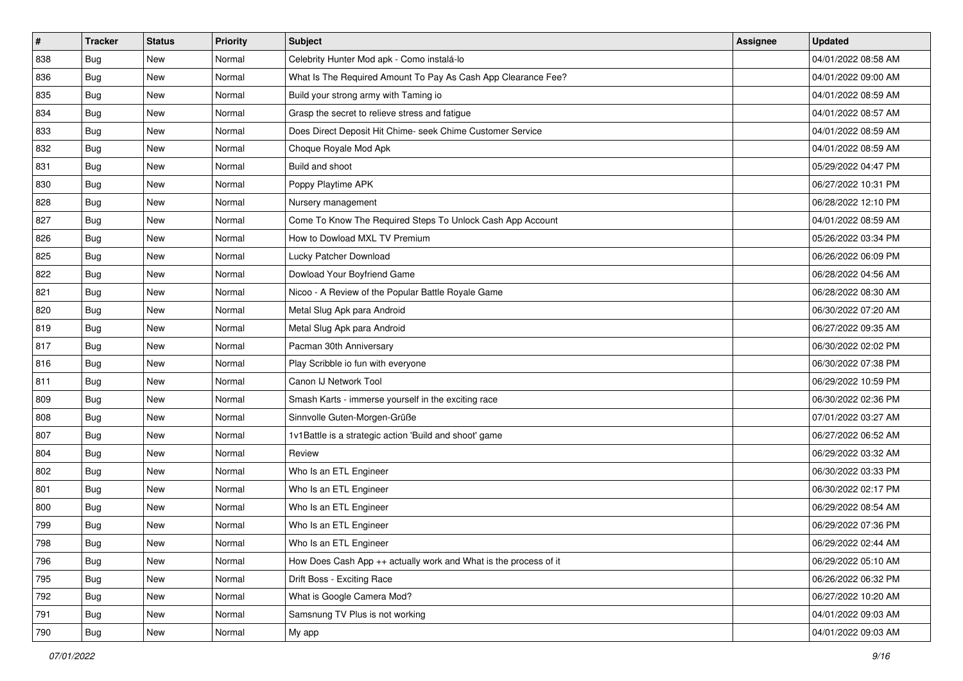| $\sharp$ | <b>Tracker</b> | <b>Status</b> | <b>Priority</b> | Subject                                                            | <b>Assignee</b> | <b>Updated</b>      |
|----------|----------------|---------------|-----------------|--------------------------------------------------------------------|-----------------|---------------------|
| 838      | Bug            | New           | Normal          | Celebrity Hunter Mod apk - Como instalá-lo                         |                 | 04/01/2022 08:58 AM |
| 836      | Bug            | <b>New</b>    | Normal          | What Is The Required Amount To Pay As Cash App Clearance Fee?      |                 | 04/01/2022 09:00 AM |
| 835      | <b>Bug</b>     | New           | Normal          | Build your strong army with Taming io                              |                 | 04/01/2022 08:59 AM |
| 834      | Bug            | New           | Normal          | Grasp the secret to relieve stress and fatigue                     |                 | 04/01/2022 08:57 AM |
| 833      | Bug            | <b>New</b>    | Normal          | Does Direct Deposit Hit Chime- seek Chime Customer Service         |                 | 04/01/2022 08:59 AM |
| 832      | <b>Bug</b>     | New           | Normal          | Choque Royale Mod Apk                                              |                 | 04/01/2022 08:59 AM |
| 831      | Bug            | New           | Normal          | Build and shoot                                                    |                 | 05/29/2022 04:47 PM |
| 830      | Bug            | New           | Normal          | Poppy Playtime APK                                                 |                 | 06/27/2022 10:31 PM |
| 828      | <b>Bug</b>     | New           | Normal          | Nursery management                                                 |                 | 06/28/2022 12:10 PM |
| 827      | Bug            | <b>New</b>    | Normal          | Come To Know The Required Steps To Unlock Cash App Account         |                 | 04/01/2022 08:59 AM |
| 826      | Bug            | New           | Normal          | How to Dowload MXL TV Premium                                      |                 | 05/26/2022 03:34 PM |
| 825      | Bug            | New           | Normal          | Lucky Patcher Download                                             |                 | 06/26/2022 06:09 PM |
| 822      | <b>Bug</b>     | New           | Normal          | Dowload Your Boyfriend Game                                        |                 | 06/28/2022 04:56 AM |
| 821      | Bug            | New           | Normal          | Nicoo - A Review of the Popular Battle Royale Game                 |                 | 06/28/2022 08:30 AM |
| 820      | Bug            | <b>New</b>    | Normal          | Metal Slug Apk para Android                                        |                 | 06/30/2022 07:20 AM |
| 819      | Bug            | New           | Normal          | Metal Slug Apk para Android                                        |                 | 06/27/2022 09:35 AM |
| 817      | Bug            | New           | Normal          | Pacman 30th Anniversary                                            |                 | 06/30/2022 02:02 PM |
| 816      | Bug            | <b>New</b>    | Normal          | Play Scribble io fun with everyone                                 |                 | 06/30/2022 07:38 PM |
| 811      | Bug            | New           | Normal          | Canon IJ Network Tool                                              |                 | 06/29/2022 10:59 PM |
| 809      | Bug            | New           | Normal          | Smash Karts - immerse yourself in the exciting race                |                 | 06/30/2022 02:36 PM |
| 808      | Bug            | New           | Normal          | Sinnvolle Guten-Morgen-Grüße                                       |                 | 07/01/2022 03:27 AM |
| 807      | Bug            | New           | Normal          | 1v1Battle is a strategic action 'Build and shoot' game             |                 | 06/27/2022 06:52 AM |
| 804      | Bug            | <b>New</b>    | Normal          | Review                                                             |                 | 06/29/2022 03:32 AM |
| 802      | Bug            | New           | Normal          | Who Is an ETL Engineer                                             |                 | 06/30/2022 03:33 PM |
| 801      | Bug            | New           | Normal          | Who Is an ETL Engineer                                             |                 | 06/30/2022 02:17 PM |
| 800      | <b>Bug</b>     | New           | Normal          | Who Is an ETL Engineer                                             |                 | 06/29/2022 08:54 AM |
| 799      | Bug            | New           | Normal          | Who Is an ETL Engineer                                             |                 | 06/29/2022 07:36 PM |
| 798      | <b>Bug</b>     | New           | Normal          | Who Is an ETL Engineer                                             |                 | 06/29/2022 02:44 AM |
| 796      | Bug            | New           | Normal          | How Does Cash App $++$ actually work and What is the process of it |                 | 06/29/2022 05:10 AM |
| 795      | Bug            | New           | Normal          | Drift Boss - Exciting Race                                         |                 | 06/26/2022 06:32 PM |
| 792      | Bug            | New           | Normal          | What is Google Camera Mod?                                         |                 | 06/27/2022 10:20 AM |
| 791      | <b>Bug</b>     | New           | Normal          | Samsnung TV Plus is not working                                    |                 | 04/01/2022 09:03 AM |
| 790      | <b>Bug</b>     | New           | Normal          | My app                                                             |                 | 04/01/2022 09:03 AM |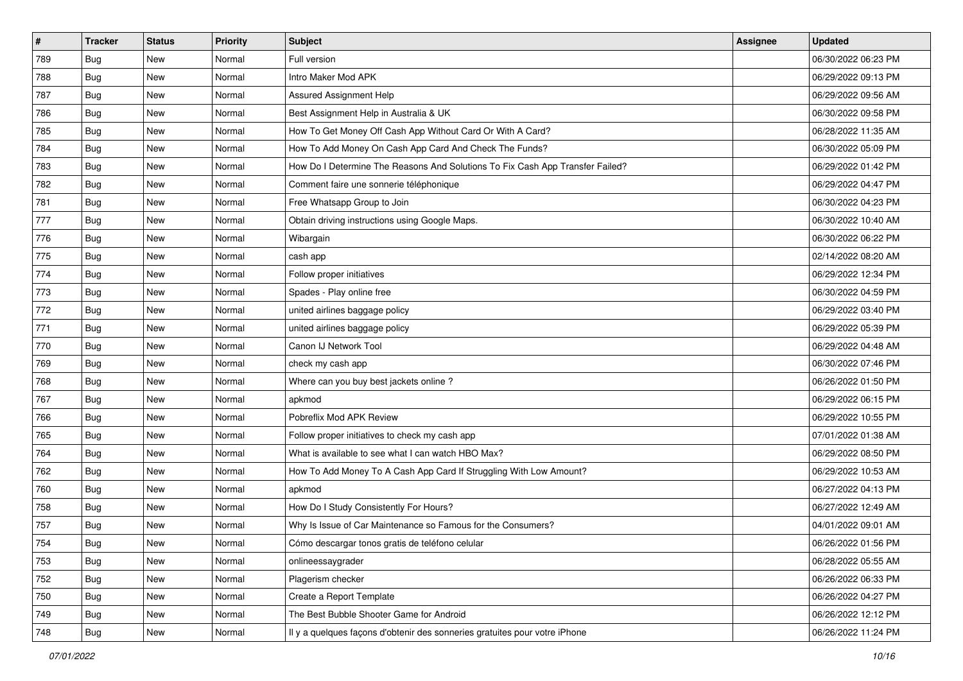| $\vert$ # | <b>Tracker</b> | <b>Status</b> | <b>Priority</b> | Subject                                                                       | <b>Assignee</b> | <b>Updated</b>      |
|-----------|----------------|---------------|-----------------|-------------------------------------------------------------------------------|-----------------|---------------------|
| 789       | <b>Bug</b>     | New           | Normal          | Full version                                                                  |                 | 06/30/2022 06:23 PM |
| 788       | Bug            | New           | Normal          | Intro Maker Mod APK                                                           |                 | 06/29/2022 09:13 PM |
| 787       | Bug            | New           | Normal          | <b>Assured Assignment Help</b>                                                |                 | 06/29/2022 09:56 AM |
| 786       | <b>Bug</b>     | New           | Normal          | Best Assignment Help in Australia & UK                                        |                 | 06/30/2022 09:58 PM |
| 785       | Bug            | <b>New</b>    | Normal          | How To Get Money Off Cash App Without Card Or With A Card?                    |                 | 06/28/2022 11:35 AM |
| 784       | <b>Bug</b>     | New           | Normal          | How To Add Money On Cash App Card And Check The Funds?                        |                 | 06/30/2022 05:09 PM |
| 783       | <b>Bug</b>     | New           | Normal          | How Do I Determine The Reasons And Solutions To Fix Cash App Transfer Failed? |                 | 06/29/2022 01:42 PM |
| 782       | <b>Bug</b>     | New           | Normal          | Comment faire une sonnerie téléphonique                                       |                 | 06/29/2022 04:47 PM |
| 781       | <b>Bug</b>     | <b>New</b>    | Normal          | Free Whatsapp Group to Join                                                   |                 | 06/30/2022 04:23 PM |
| 777       | Bug            | <b>New</b>    | Normal          | Obtain driving instructions using Google Maps.                                |                 | 06/30/2022 10:40 AM |
| 776       | Bug            | New           | Normal          | Wibargain                                                                     |                 | 06/30/2022 06:22 PM |
| 775       | Bug            | New           | Normal          | cash app                                                                      |                 | 02/14/2022 08:20 AM |
| 774       | <b>Bug</b>     | New           | Normal          | Follow proper initiatives                                                     |                 | 06/29/2022 12:34 PM |
| 773       | <b>Bug</b>     | New           | Normal          | Spades - Play online free                                                     |                 | 06/30/2022 04:59 PM |
| 772       | <b>Bug</b>     | New           | Normal          | united airlines baggage policy                                                |                 | 06/29/2022 03:40 PM |
| 771       | Bug            | New           | Normal          | united airlines baggage policy                                                |                 | 06/29/2022 05:39 PM |
| 770       | <b>Bug</b>     | New           | Normal          | Canon IJ Network Tool                                                         |                 | 06/29/2022 04:48 AM |
| 769       | Bug            | New           | Normal          | check my cash app                                                             |                 | 06/30/2022 07:46 PM |
| 768       | <b>Bug</b>     | New           | Normal          | Where can you buy best jackets online?                                        |                 | 06/26/2022 01:50 PM |
| 767       | Bug            | New           | Normal          | apkmod                                                                        |                 | 06/29/2022 06:15 PM |
| 766       | Bug            | New           | Normal          | Pobreflix Mod APK Review                                                      |                 | 06/29/2022 10:55 PM |
| 765       | <b>Bug</b>     | <b>New</b>    | Normal          | Follow proper initiatives to check my cash app                                |                 | 07/01/2022 01:38 AM |
| 764       | Bug            | <b>New</b>    | Normal          | What is available to see what I can watch HBO Max?                            |                 | 06/29/2022 08:50 PM |
| 762       | Bug            | New           | Normal          | How To Add Money To A Cash App Card If Struggling With Low Amount?            |                 | 06/29/2022 10:53 AM |
| 760       | <b>Bug</b>     | New           | Normal          | apkmod                                                                        |                 | 06/27/2022 04:13 PM |
| 758       | <b>Bug</b>     | New           | Normal          | How Do I Study Consistently For Hours?                                        |                 | 06/27/2022 12:49 AM |
| 757       | <b>Bug</b>     | New           | Normal          | Why Is Issue of Car Maintenance so Famous for the Consumers?                  |                 | 04/01/2022 09:01 AM |
| 754       | i Bug          | New           | Normal          | Cómo descargar tonos gratis de teléfono celular                               |                 | 06/26/2022 01:56 PM |
| 753       | Bug            | New           | Normal          | onlineessaygrader                                                             |                 | 06/28/2022 05:55 AM |
| 752       | Bug            | New           | Normal          | Plagerism checker                                                             |                 | 06/26/2022 06:33 PM |
| 750       | Bug            | New           | Normal          | Create a Report Template                                                      |                 | 06/26/2022 04:27 PM |
| 749       | <b>Bug</b>     | New           | Normal          | The Best Bubble Shooter Game for Android                                      |                 | 06/26/2022 12:12 PM |
| 748       | <b>Bug</b>     | New           | Normal          | Il y a quelques façons d'obtenir des sonneries gratuites pour votre iPhone    |                 | 06/26/2022 11:24 PM |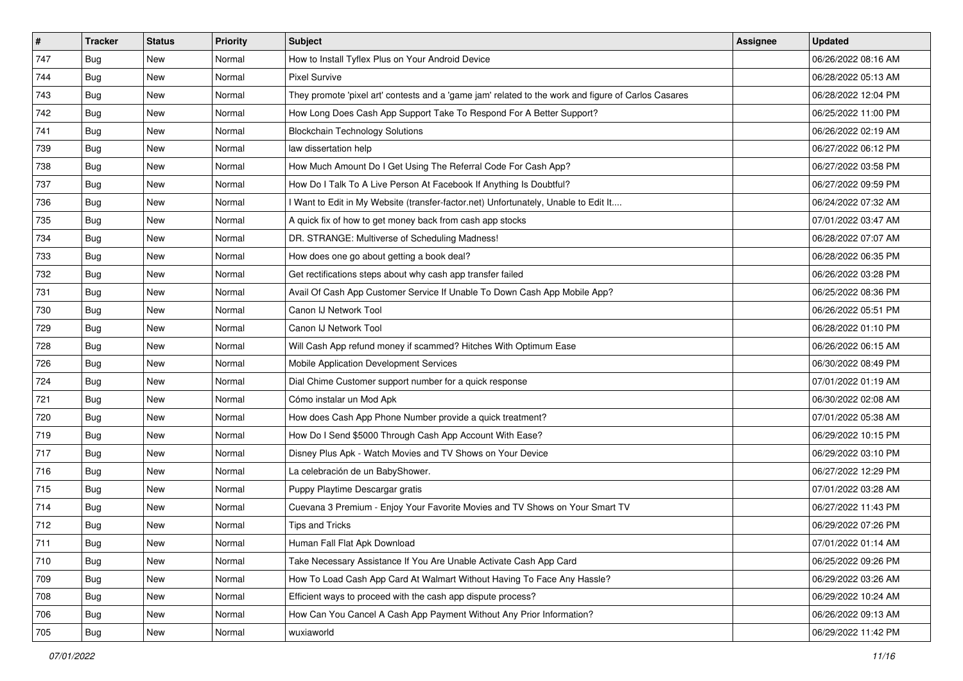| $\sharp$ | <b>Tracker</b> | <b>Status</b> | Priority | <b>Subject</b>                                                                                      | <b>Assignee</b> | <b>Updated</b>      |
|----------|----------------|---------------|----------|-----------------------------------------------------------------------------------------------------|-----------------|---------------------|
| 747      | <b>Bug</b>     | New           | Normal   | How to Install Tyflex Plus on Your Android Device                                                   |                 | 06/26/2022 08:16 AM |
| 744      | <b>Bug</b>     | New           | Normal   | <b>Pixel Survive</b>                                                                                |                 | 06/28/2022 05:13 AM |
| 743      | Bug            | New           | Normal   | They promote 'pixel art' contests and a 'game jam' related to the work and figure of Carlos Casares |                 | 06/28/2022 12:04 PM |
| 742      | Bug            | New           | Normal   | How Long Does Cash App Support Take To Respond For A Better Support?                                |                 | 06/25/2022 11:00 PM |
| 741      | <b>Bug</b>     | New           | Normal   | <b>Blockchain Technology Solutions</b>                                                              |                 | 06/26/2022 02:19 AM |
| 739      | <b>Bug</b>     | New           | Normal   | law dissertation help                                                                               |                 | 06/27/2022 06:12 PM |
| 738      | Bug            | New           | Normal   | How Much Amount Do I Get Using The Referral Code For Cash App?                                      |                 | 06/27/2022 03:58 PM |
| 737      | <b>Bug</b>     | New           | Normal   | How Do I Talk To A Live Person At Facebook If Anything Is Doubtful?                                 |                 | 06/27/2022 09:59 PM |
| 736      | <b>Bug</b>     | New           | Normal   | I Want to Edit in My Website (transfer-factor.net) Unfortunately, Unable to Edit It                 |                 | 06/24/2022 07:32 AM |
| 735      | Bug            | New           | Normal   | A quick fix of how to get money back from cash app stocks                                           |                 | 07/01/2022 03:47 AM |
| 734      | Bug            | New           | Normal   | DR. STRANGE: Multiverse of Scheduling Madness!                                                      |                 | 06/28/2022 07:07 AM |
| 733      | Bug            | New           | Normal   | How does one go about getting a book deal?                                                          |                 | 06/28/2022 06:35 PM |
| 732      | Bug            | New           | Normal   | Get rectifications steps about why cash app transfer failed                                         |                 | 06/26/2022 03:28 PM |
| 731      | <b>Bug</b>     | New           | Normal   | Avail Of Cash App Customer Service If Unable To Down Cash App Mobile App?                           |                 | 06/25/2022 08:36 PM |
| 730      | Bug            | New           | Normal   | Canon IJ Network Tool                                                                               |                 | 06/26/2022 05:51 PM |
| 729      | Bug            | New           | Normal   | Canon IJ Network Tool                                                                               |                 | 06/28/2022 01:10 PM |
| 728      | Bug            | New           | Normal   | Will Cash App refund money if scammed? Hitches With Optimum Ease                                    |                 | 06/26/2022 06:15 AM |
| 726      | Bug            | <b>New</b>    | Normal   | Mobile Application Development Services                                                             |                 | 06/30/2022 08:49 PM |
| 724      | <b>Bug</b>     | New           | Normal   | Dial Chime Customer support number for a quick response                                             |                 | 07/01/2022 01:19 AM |
| 721      | <b>Bug</b>     | New           | Normal   | Cómo instalar un Mod Apk                                                                            |                 | 06/30/2022 02:08 AM |
| 720      | Bug            | New           | Normal   | How does Cash App Phone Number provide a quick treatment?                                           |                 | 07/01/2022 05:38 AM |
| 719      | <b>Bug</b>     | New           | Normal   | How Do I Send \$5000 Through Cash App Account With Ease?                                            |                 | 06/29/2022 10:15 PM |
| 717      | Bug            | New           | Normal   | Disney Plus Apk - Watch Movies and TV Shows on Your Device                                          |                 | 06/29/2022 03:10 PM |
| 716      | <b>Bug</b>     | New           | Normal   | La celebración de un BabyShower.                                                                    |                 | 06/27/2022 12:29 PM |
| 715      | Bug            | New           | Normal   | Puppy Playtime Descargar gratis                                                                     |                 | 07/01/2022 03:28 AM |
| 714      | Bug            | New           | Normal   | Cuevana 3 Premium - Enjoy Your Favorite Movies and TV Shows on Your Smart TV                        |                 | 06/27/2022 11:43 PM |
| 712      | <b>Bug</b>     | New           | Normal   | Tips and Tricks                                                                                     |                 | 06/29/2022 07:26 PM |
| 711      | <b>Bug</b>     | New           | Normal   | Human Fall Flat Apk Download                                                                        |                 | 07/01/2022 01:14 AM |
| 710      | Bug            | New           | Normal   | Take Necessary Assistance If You Are Unable Activate Cash App Card                                  |                 | 06/25/2022 09:26 PM |
| 709      | Bug            | New           | Normal   | How To Load Cash App Card At Walmart Without Having To Face Any Hassle?                             |                 | 06/29/2022 03:26 AM |
| 708      | <b>Bug</b>     | New           | Normal   | Efficient ways to proceed with the cash app dispute process?                                        |                 | 06/29/2022 10:24 AM |
| 706      | Bug            | New           | Normal   | How Can You Cancel A Cash App Payment Without Any Prior Information?                                |                 | 06/26/2022 09:13 AM |
| 705      | <b>Bug</b>     | New           | Normal   | wuxiaworld                                                                                          |                 | 06/29/2022 11:42 PM |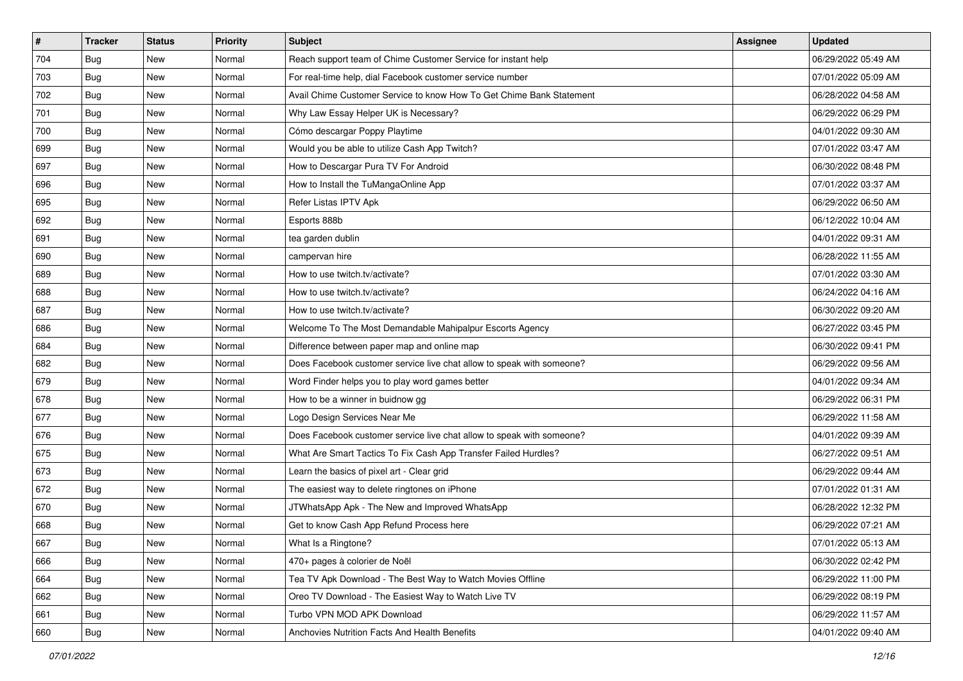| $\sharp$ | <b>Tracker</b> | <b>Status</b> | <b>Priority</b> | Subject                                                               | <b>Assignee</b> | <b>Updated</b>      |
|----------|----------------|---------------|-----------------|-----------------------------------------------------------------------|-----------------|---------------------|
| 704      | <b>Bug</b>     | New           | Normal          | Reach support team of Chime Customer Service for instant help         |                 | 06/29/2022 05:49 AM |
| 703      | Bug            | <b>New</b>    | Normal          | For real-time help, dial Facebook customer service number             |                 | 07/01/2022 05:09 AM |
| 702      | <b>Bug</b>     | New           | Normal          | Avail Chime Customer Service to know How To Get Chime Bank Statement  |                 | 06/28/2022 04:58 AM |
| 701      | Bug            | New           | Normal          | Why Law Essay Helper UK is Necessary?                                 |                 | 06/29/2022 06:29 PM |
| 700      | Bug            | <b>New</b>    | Normal          | Cómo descargar Poppy Playtime                                         |                 | 04/01/2022 09:30 AM |
| 699      | <b>Bug</b>     | New           | Normal          | Would you be able to utilize Cash App Twitch?                         |                 | 07/01/2022 03:47 AM |
| 697      | Bug            | New           | Normal          | How to Descargar Pura TV For Android                                  |                 | 06/30/2022 08:48 PM |
| 696      | Bug            | New           | Normal          | How to Install the TuMangaOnline App                                  |                 | 07/01/2022 03:37 AM |
| 695      | <b>Bug</b>     | New           | Normal          | Refer Listas IPTV Apk                                                 |                 | 06/29/2022 06:50 AM |
| 692      | Bug            | <b>New</b>    | Normal          | Esports 888b                                                          |                 | 06/12/2022 10:04 AM |
| 691      | Bug            | New           | Normal          | tea garden dublin                                                     |                 | 04/01/2022 09:31 AM |
| 690      | <b>Bug</b>     | New           | Normal          | campervan hire                                                        |                 | 06/28/2022 11:55 AM |
| 689      | <b>Bug</b>     | New           | Normal          | How to use twitch.tv/activate?                                        |                 | 07/01/2022 03:30 AM |
| 688      | Bug            | New           | Normal          | How to use twitch.tv/activate?                                        |                 | 06/24/2022 04:16 AM |
| 687      | Bug            | New           | Normal          | How to use twitch.tv/activate?                                        |                 | 06/30/2022 09:20 AM |
| 686      | <b>Bug</b>     | New           | Normal          | Welcome To The Most Demandable Mahipalpur Escorts Agency              |                 | 06/27/2022 03:45 PM |
| 684      | <b>Bug</b>     | New           | Normal          | Difference between paper map and online map                           |                 | 06/30/2022 09:41 PM |
| 682      | Bug            | <b>New</b>    | Normal          | Does Facebook customer service live chat allow to speak with someone? |                 | 06/29/2022 09:56 AM |
| 679      | <b>Bug</b>     | New           | Normal          | Word Finder helps you to play word games better                       |                 | 04/01/2022 09:34 AM |
| 678      | <b>Bug</b>     | New           | Normal          | How to be a winner in buidnow gg                                      |                 | 06/29/2022 06:31 PM |
| 677      | Bug            | New           | Normal          | Logo Design Services Near Me                                          |                 | 06/29/2022 11:58 AM |
| 676      | <b>Bug</b>     | New           | Normal          | Does Facebook customer service live chat allow to speak with someone? |                 | 04/01/2022 09:39 AM |
| 675      | Bug            | <b>New</b>    | Normal          | What Are Smart Tactics To Fix Cash App Transfer Failed Hurdles?       |                 | 06/27/2022 09:51 AM |
| 673      | Bug            | New           | Normal          | Learn the basics of pixel art - Clear grid                            |                 | 06/29/2022 09:44 AM |
| 672      | Bug            | New           | Normal          | The easiest way to delete ringtones on iPhone                         |                 | 07/01/2022 01:31 AM |
| 670      | <b>Bug</b>     | New           | Normal          | JTWhatsApp Apk - The New and Improved WhatsApp                        |                 | 06/28/2022 12:32 PM |
| 668      | Bug            | New           | Normal          | Get to know Cash App Refund Process here                              |                 | 06/29/2022 07:21 AM |
| 667      | <b>Bug</b>     | New           | Normal          | What Is a Ringtone?                                                   |                 | 07/01/2022 05:13 AM |
| 666      | Bug            | New           | Normal          | 470+ pages à colorier de Noël                                         |                 | 06/30/2022 02:42 PM |
| 664      | Bug            | New           | Normal          | Tea TV Apk Download - The Best Way to Watch Movies Offline            |                 | 06/29/2022 11:00 PM |
| 662      | <b>Bug</b>     | New           | Normal          | Oreo TV Download - The Easiest Way to Watch Live TV                   |                 | 06/29/2022 08:19 PM |
| 661      | Bug            | New           | Normal          | Turbo VPN MOD APK Download                                            |                 | 06/29/2022 11:57 AM |
| 660      | <b>Bug</b>     | New           | Normal          | Anchovies Nutrition Facts And Health Benefits                         |                 | 04/01/2022 09:40 AM |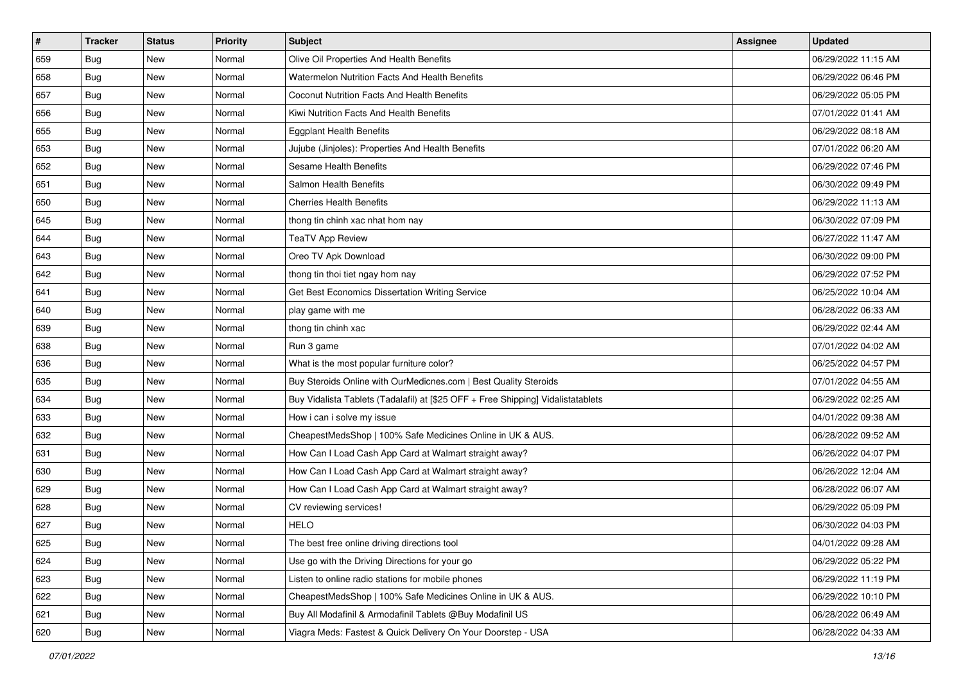| #   | <b>Tracker</b> | <b>Status</b> | Priority | Subject                                                                          | <b>Assignee</b> | <b>Updated</b>      |
|-----|----------------|---------------|----------|----------------------------------------------------------------------------------|-----------------|---------------------|
| 659 | <b>Bug</b>     | New           | Normal   | Olive Oil Properties And Health Benefits                                         |                 | 06/29/2022 11:15 AM |
| 658 | Bug            | <b>New</b>    | Normal   | Watermelon Nutrition Facts And Health Benefits                                   |                 | 06/29/2022 06:46 PM |
| 657 | <b>Bug</b>     | New           | Normal   | Coconut Nutrition Facts And Health Benefits                                      |                 | 06/29/2022 05:05 PM |
| 656 | <b>Bug</b>     | New           | Normal   | Kiwi Nutrition Facts And Health Benefits                                         |                 | 07/01/2022 01:41 AM |
| 655 | Bug            | <b>New</b>    | Normal   | <b>Eggplant Health Benefits</b>                                                  |                 | 06/29/2022 08:18 AM |
| 653 | <b>Bug</b>     | New           | Normal   | Jujube (Jinjoles): Properties And Health Benefits                                |                 | 07/01/2022 06:20 AM |
| 652 | Bug            | <b>New</b>    | Normal   | Sesame Health Benefits                                                           |                 | 06/29/2022 07:46 PM |
| 651 | Bug            | New           | Normal   | Salmon Health Benefits                                                           |                 | 06/30/2022 09:49 PM |
| 650 | Bug            | New           | Normal   | <b>Cherries Health Benefits</b>                                                  |                 | 06/29/2022 11:13 AM |
| 645 | <b>Bug</b>     | <b>New</b>    | Normal   | thong tin chinh xac nhat hom nay                                                 |                 | 06/30/2022 07:09 PM |
| 644 | Bug            | New           | Normal   | <b>TeaTV App Review</b>                                                          |                 | 06/27/2022 11:47 AM |
| 643 | <b>Bug</b>     | New           | Normal   | Oreo TV Apk Download                                                             |                 | 06/30/2022 09:00 PM |
| 642 | <b>Bug</b>     | New           | Normal   | thong tin thoi tiet ngay hom nay                                                 |                 | 06/29/2022 07:52 PM |
| 641 | Bug            | <b>New</b>    | Normal   | Get Best Economics Dissertation Writing Service                                  |                 | 06/25/2022 10:04 AM |
| 640 | Bug            | <b>New</b>    | Normal   | play game with me                                                                |                 | 06/28/2022 06:33 AM |
| 639 | <b>Bug</b>     | New           | Normal   | thong tin chinh xac                                                              |                 | 06/29/2022 02:44 AM |
| 638 | <b>Bug</b>     | New           | Normal   | Run 3 game                                                                       |                 | 07/01/2022 04:02 AM |
| 636 | Bug            | <b>New</b>    | Normal   | What is the most popular furniture color?                                        |                 | 06/25/2022 04:57 PM |
| 635 | Bug            | <b>New</b>    | Normal   | Buy Steroids Online with OurMedicnes.com   Best Quality Steroids                 |                 | 07/01/2022 04:55 AM |
| 634 | Bug            | New           | Normal   | Buy Vidalista Tablets (Tadalafil) at [\$25 OFF + Free Shipping] Vidalistatablets |                 | 06/29/2022 02:25 AM |
| 633 | Bug            | New           | Normal   | How i can i solve my issue                                                       |                 | 04/01/2022 09:38 AM |
| 632 | Bug            | New           | Normal   | CheapestMedsShop   100% Safe Medicines Online in UK & AUS.                       |                 | 06/28/2022 09:52 AM |
| 631 | Bug            | <b>New</b>    | Normal   | How Can I Load Cash App Card at Walmart straight away?                           |                 | 06/26/2022 04:07 PM |
| 630 | Bug            | New           | Normal   | How Can I Load Cash App Card at Walmart straight away?                           |                 | 06/26/2022 12:04 AM |
| 629 | <b>Bug</b>     | New           | Normal   | How Can I Load Cash App Card at Walmart straight away?                           |                 | 06/28/2022 06:07 AM |
| 628 | <b>Bug</b>     | New           | Normal   | CV reviewing services!                                                           |                 | 06/29/2022 05:09 PM |
| 627 | Bug            | New           | Normal   | <b>HELO</b>                                                                      |                 | 06/30/2022 04:03 PM |
| 625 | <b>Bug</b>     | New           | Normal   | The best free online driving directions tool                                     |                 | 04/01/2022 09:28 AM |
| 624 | Bug            | New           | Normal   | Use go with the Driving Directions for your go                                   |                 | 06/29/2022 05:22 PM |
| 623 | Bug            | New           | Normal   | Listen to online radio stations for mobile phones                                |                 | 06/29/2022 11:19 PM |
| 622 | Bug            | New           | Normal   | CheapestMedsShop   100% Safe Medicines Online in UK & AUS.                       |                 | 06/29/2022 10:10 PM |
| 621 | Bug            | New           | Normal   | Buy All Modafinil & Armodafinil Tablets @Buy Modafinil US                        |                 | 06/28/2022 06:49 AM |
| 620 | <b>Bug</b>     | New           | Normal   | Viagra Meds: Fastest & Quick Delivery On Your Doorstep - USA                     |                 | 06/28/2022 04:33 AM |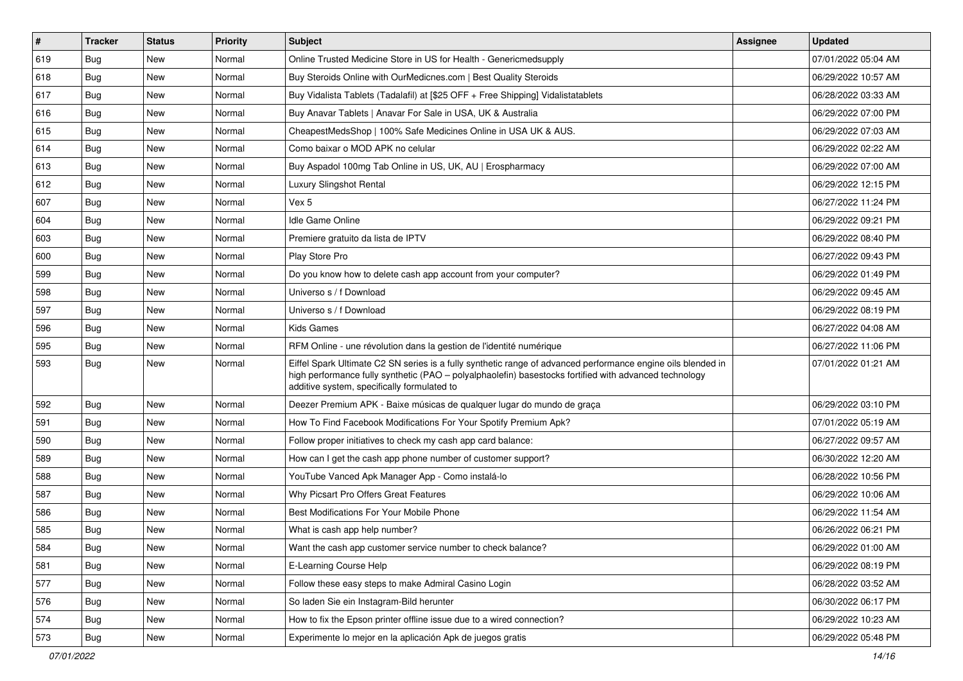| $\vert$ # | <b>Tracker</b> | <b>Status</b> | Priority | <b>Subject</b>                                                                                                                                                                                                                                                        | Assignee | <b>Updated</b>      |
|-----------|----------------|---------------|----------|-----------------------------------------------------------------------------------------------------------------------------------------------------------------------------------------------------------------------------------------------------------------------|----------|---------------------|
| 619       | <b>Bug</b>     | New           | Normal   | Online Trusted Medicine Store in US for Health - Genericmedsupply                                                                                                                                                                                                     |          | 07/01/2022 05:04 AM |
| 618       | Bug            | New           | Normal   | Buy Steroids Online with OurMedicnes.com   Best Quality Steroids                                                                                                                                                                                                      |          | 06/29/2022 10:57 AM |
| 617       | <b>Bug</b>     | New           | Normal   | Buy Vidalista Tablets (Tadalafil) at [\$25 OFF + Free Shipping] Vidalistatablets                                                                                                                                                                                      |          | 06/28/2022 03:33 AM |
| 616       | <b>Bug</b>     | <b>New</b>    | Normal   | Buy Anavar Tablets   Anavar For Sale in USA, UK & Australia                                                                                                                                                                                                           |          | 06/29/2022 07:00 PM |
| 615       | Bug            | <b>New</b>    | Normal   | CheapestMedsShop   100% Safe Medicines Online in USA UK & AUS.                                                                                                                                                                                                        |          | 06/29/2022 07:03 AM |
| 614       | <b>Bug</b>     | New           | Normal   | Como baixar o MOD APK no celular                                                                                                                                                                                                                                      |          | 06/29/2022 02:22 AM |
| 613       | Bug            | New           | Normal   | Buy Aspadol 100mg Tab Online in US, UK, AU   Erospharmacy                                                                                                                                                                                                             |          | 06/29/2022 07:00 AM |
| 612       | <b>Bug</b>     | New           | Normal   | <b>Luxury Slingshot Rental</b>                                                                                                                                                                                                                                        |          | 06/29/2022 12:15 PM |
| 607       | <b>Bug</b>     | New           | Normal   | Vex 5                                                                                                                                                                                                                                                                 |          | 06/27/2022 11:24 PM |
| 604       | Bug            | <b>New</b>    | Normal   | Idle Game Online                                                                                                                                                                                                                                                      |          | 06/29/2022 09:21 PM |
| 603       | Bug            | New           | Normal   | Premiere gratuito da lista de IPTV                                                                                                                                                                                                                                    |          | 06/29/2022 08:40 PM |
| 600       | <b>Bug</b>     | New           | Normal   | Play Store Pro                                                                                                                                                                                                                                                        |          | 06/27/2022 09:43 PM |
| 599       | <b>Bug</b>     | New           | Normal   | Do you know how to delete cash app account from your computer?                                                                                                                                                                                                        |          | 06/29/2022 01:49 PM |
| 598       | Bug            | New           | Normal   | Universo s / f Download                                                                                                                                                                                                                                               |          | 06/29/2022 09:45 AM |
| 597       | Bug            | New           | Normal   | Universo s / f Download                                                                                                                                                                                                                                               |          | 06/29/2022 08:19 PM |
| 596       | <b>Bug</b>     | New           | Normal   | <b>Kids Games</b>                                                                                                                                                                                                                                                     |          | 06/27/2022 04:08 AM |
| 595       | <b>Bug</b>     | New           | Normal   | RFM Online - une révolution dans la gestion de l'identité numérique                                                                                                                                                                                                   |          | 06/27/2022 11:06 PM |
| 593       | Bug            | New           | Normal   | Eiffel Spark Ultimate C2 SN series is a fully synthetic range of advanced performance engine oils blended in<br>high performance fully synthetic (PAO - polyalphaolefin) basestocks fortified with advanced technology<br>additive system, specifically formulated to |          | 07/01/2022 01:21 AM |
| 592       | Bug            | New           | Normal   | Deezer Premium APK - Baixe músicas de qualquer lugar do mundo de graça                                                                                                                                                                                                |          | 06/29/2022 03:10 PM |
| 591       | Bug            | New           | Normal   | How To Find Facebook Modifications For Your Spotify Premium Apk?                                                                                                                                                                                                      |          | 07/01/2022 05:19 AM |
| 590       | Bug            | <b>New</b>    | Normal   | Follow proper initiatives to check my cash app card balance:                                                                                                                                                                                                          |          | 06/27/2022 09:57 AM |
| 589       | Bug            | New           | Normal   | How can I get the cash app phone number of customer support?                                                                                                                                                                                                          |          | 06/30/2022 12:20 AM |
| 588       | <b>Bug</b>     | New           | Normal   | YouTube Vanced Apk Manager App - Como instalá-lo                                                                                                                                                                                                                      |          | 06/28/2022 10:56 PM |
| 587       | Bug            | <b>New</b>    | Normal   | Why Picsart Pro Offers Great Features                                                                                                                                                                                                                                 |          | 06/29/2022 10:06 AM |
| 586       | Bug            | New           | Normal   | Best Modifications For Your Mobile Phone                                                                                                                                                                                                                              |          | 06/29/2022 11:54 AM |
| 585       | Bug            | New           | Normal   | What is cash app help number?                                                                                                                                                                                                                                         |          | 06/26/2022 06:21 PM |
| 584       | Bug            | New           | Normal   | Want the cash app customer service number to check balance?                                                                                                                                                                                                           |          | 06/29/2022 01:00 AM |
| 581       | Bug            | New           | Normal   | E-Learning Course Help                                                                                                                                                                                                                                                |          | 06/29/2022 08:19 PM |
| 577       | Bug            | <b>New</b>    | Normal   | Follow these easy steps to make Admiral Casino Login                                                                                                                                                                                                                  |          | 06/28/2022 03:52 AM |
| 576       | <b>Bug</b>     | New           | Normal   | So laden Sie ein Instagram-Bild herunter                                                                                                                                                                                                                              |          | 06/30/2022 06:17 PM |
| 574       | Bug            | New           | Normal   | How to fix the Epson printer offline issue due to a wired connection?                                                                                                                                                                                                 |          | 06/29/2022 10:23 AM |
| 573       | <b>Bug</b>     | New           | Normal   | Experimente lo mejor en la aplicación Apk de juegos gratis                                                                                                                                                                                                            |          | 06/29/2022 05:48 PM |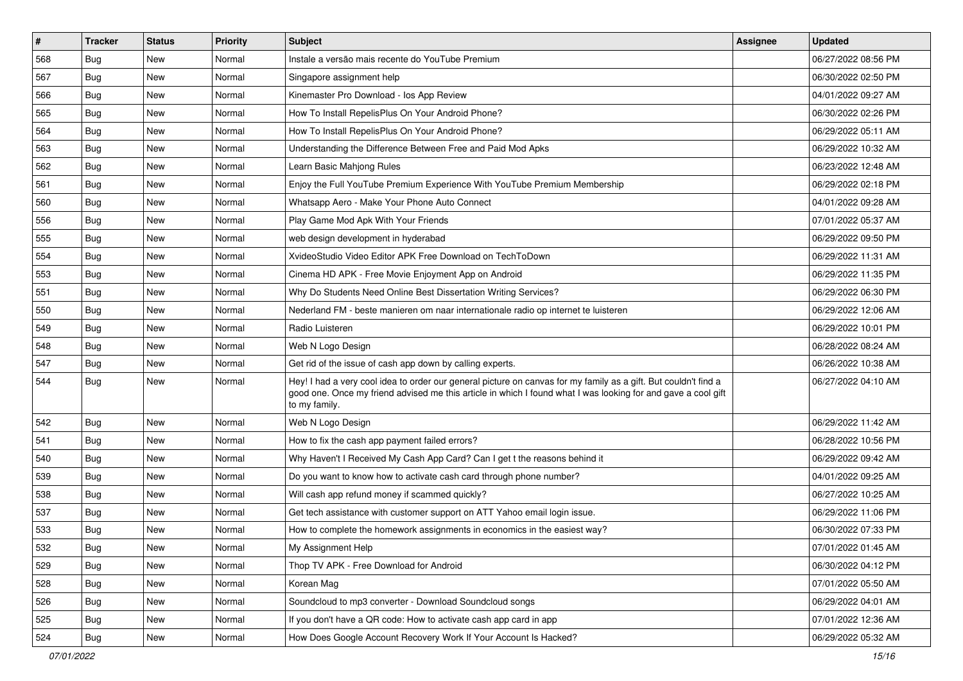| #   | <b>Tracker</b> | <b>Status</b> | <b>Priority</b> | <b>Subject</b>                                                                                                                                                                                                                                    | <b>Assignee</b> | <b>Updated</b>      |
|-----|----------------|---------------|-----------------|---------------------------------------------------------------------------------------------------------------------------------------------------------------------------------------------------------------------------------------------------|-----------------|---------------------|
| 568 | Bug            | New           | Normal          | Instale a versão mais recente do YouTube Premium                                                                                                                                                                                                  |                 | 06/27/2022 08:56 PM |
| 567 | Bug            | <b>New</b>    | Normal          | Singapore assignment help                                                                                                                                                                                                                         |                 | 06/30/2022 02:50 PM |
| 566 | <b>Bug</b>     | New           | Normal          | Kinemaster Pro Download - los App Review                                                                                                                                                                                                          |                 | 04/01/2022 09:27 AM |
| 565 | <b>Bug</b>     | New           | Normal          | How To Install RepelisPlus On Your Android Phone?                                                                                                                                                                                                 |                 | 06/30/2022 02:26 PM |
| 564 | Bug            | New           | Normal          | How To Install RepelisPlus On Your Android Phone?                                                                                                                                                                                                 |                 | 06/29/2022 05:11 AM |
| 563 | <b>Bug</b>     | New           | Normal          | Understanding the Difference Between Free and Paid Mod Apks                                                                                                                                                                                       |                 | 06/29/2022 10:32 AM |
| 562 | Bug            | <b>New</b>    | Normal          | Learn Basic Mahjong Rules                                                                                                                                                                                                                         |                 | 06/23/2022 12:48 AM |
| 561 | Bug            | New           | Normal          | Enjoy the Full YouTube Premium Experience With YouTube Premium Membership                                                                                                                                                                         |                 | 06/29/2022 02:18 PM |
| 560 | <b>Bug</b>     | <b>New</b>    | Normal          | Whatsapp Aero - Make Your Phone Auto Connect                                                                                                                                                                                                      |                 | 04/01/2022 09:28 AM |
| 556 | Bug            | <b>New</b>    | Normal          | Play Game Mod Apk With Your Friends                                                                                                                                                                                                               |                 | 07/01/2022 05:37 AM |
| 555 | Bug            | <b>New</b>    | Normal          | web design development in hyderabad                                                                                                                                                                                                               |                 | 06/29/2022 09:50 PM |
| 554 | Bug            | New           | Normal          | XvideoStudio Video Editor APK Free Download on TechToDown                                                                                                                                                                                         |                 | 06/29/2022 11:31 AM |
| 553 | Bug            | New           | Normal          | Cinema HD APK - Free Movie Enjoyment App on Android                                                                                                                                                                                               |                 | 06/29/2022 11:35 PM |
| 551 | Bug            | New           | Normal          | Why Do Students Need Online Best Dissertation Writing Services?                                                                                                                                                                                   |                 | 06/29/2022 06:30 PM |
| 550 | Bug            | New           | Normal          | Nederland FM - beste manieren om naar internationale radio op internet te luisteren                                                                                                                                                               |                 | 06/29/2022 12:06 AM |
| 549 | <b>Bug</b>     | New           | Normal          | Radio Luisteren                                                                                                                                                                                                                                   |                 | 06/29/2022 10:01 PM |
| 548 | Bug            | New           | Normal          | Web N Logo Design                                                                                                                                                                                                                                 |                 | 06/28/2022 08:24 AM |
| 547 | Bug            | New           | Normal          | Get rid of the issue of cash app down by calling experts.                                                                                                                                                                                         |                 | 06/26/2022 10:38 AM |
| 544 | Bug            | New           | Normal          | Hey! I had a very cool idea to order our general picture on canvas for my family as a gift. But couldn't find a<br>good one. Once my friend advised me this article in which I found what I was looking for and gave a cool gift<br>to my family. |                 | 06/27/2022 04:10 AM |
| 542 | Bug            | New           | Normal          | Web N Logo Design                                                                                                                                                                                                                                 |                 | 06/29/2022 11:42 AM |
| 541 | Bug            | New           | Normal          | How to fix the cash app payment failed errors?                                                                                                                                                                                                    |                 | 06/28/2022 10:56 PM |
| 540 | <b>Bug</b>     | New           | Normal          | Why Haven't I Received My Cash App Card? Can I get t the reasons behind it                                                                                                                                                                        |                 | 06/29/2022 09:42 AM |
| 539 | <b>Bug</b>     | New           | Normal          | Do you want to know how to activate cash card through phone number?                                                                                                                                                                               |                 | 04/01/2022 09:25 AM |
| 538 | Bug            | New           | Normal          | Will cash app refund money if scammed quickly?                                                                                                                                                                                                    |                 | 06/27/2022 10:25 AM |
| 537 | Bug            | New           | Normal          | Get tech assistance with customer support on ATT Yahoo email login issue.                                                                                                                                                                         |                 | 06/29/2022 11:06 PM |
| 533 | <b>Bug</b>     | <b>New</b>    | Normal          | How to complete the homework assignments in economics in the easiest way?                                                                                                                                                                         |                 | 06/30/2022 07:33 PM |
| 532 | Bug            | New           | Normal          | My Assignment Help                                                                                                                                                                                                                                |                 | 07/01/2022 01:45 AM |
| 529 | Bug            | <b>New</b>    | Normal          | Thop TV APK - Free Download for Android                                                                                                                                                                                                           |                 | 06/30/2022 04:12 PM |
| 528 | Bug            | <b>New</b>    | Normal          | Korean Mag                                                                                                                                                                                                                                        |                 | 07/01/2022 05:50 AM |
| 526 | <b>Bug</b>     | New           | Normal          | Soundcloud to mp3 converter - Download Soundcloud songs                                                                                                                                                                                           |                 | 06/29/2022 04:01 AM |
| 525 | Bug            | New           | Normal          | If you don't have a QR code: How to activate cash app card in app                                                                                                                                                                                 |                 | 07/01/2022 12:36 AM |
| 524 | <b>Bug</b>     | New           | Normal          | How Does Google Account Recovery Work If Your Account Is Hacked?                                                                                                                                                                                  |                 | 06/29/2022 05:32 AM |